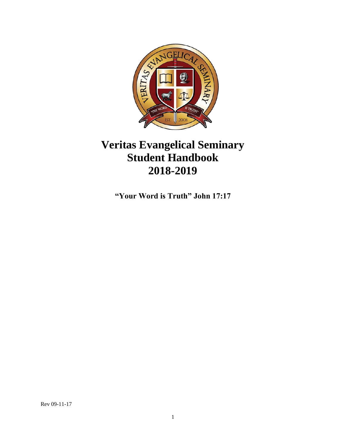

# **Veritas Evangelical Seminary Student Handbook 2018-2019**

**"Your Word is Truth" John 17:17**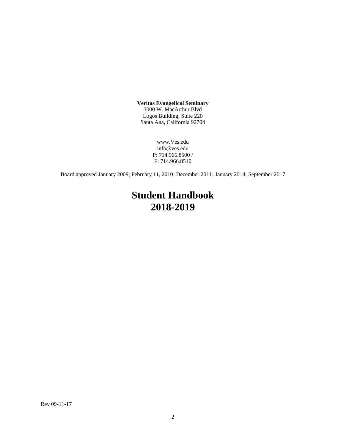**Veritas Evangelical Seminary** 3000 W. MacArthur Blvd Logos Building, Suite 220 Santa Ana, California 92704

> www.Ves.edu info@ves.edu P: 714.966.8500 / F: 714.966.8510

Board approved January 2009; February 11, 2010; December 2011; January 2014; September 2017

# **Student Handbook 2018-2019**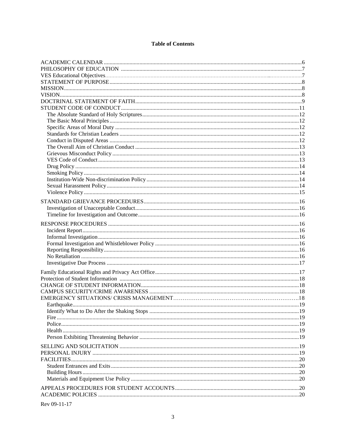## **Table of Contents**

| Rev 09-11-17 |  |
|--------------|--|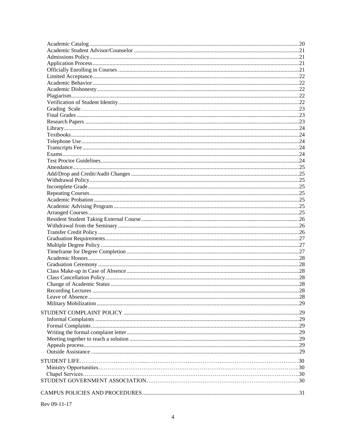| <b>STUDENT LIFE</b> |  |
|---------------------|--|
|                     |  |
|                     |  |
|                     |  |
|                     |  |
|                     |  |
|                     |  |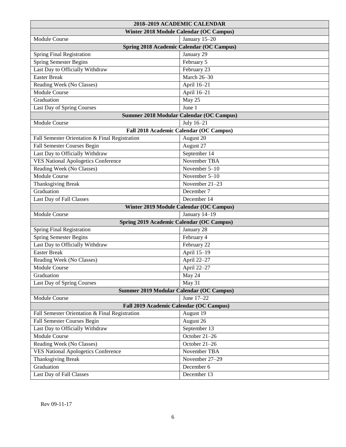| 2018-2019 ACADEMIC CALENDAR                    |                                                |  |
|------------------------------------------------|------------------------------------------------|--|
| Winter 2018 Module Calendar (OC Campus)        |                                                |  |
| Module Course                                  | January 15-20                                  |  |
|                                                | Spring 2018 Academic Calendar (OC Campus)      |  |
| <b>Spring Final Registration</b>               | January 29                                     |  |
| <b>Spring Semester Begins</b>                  | February 5                                     |  |
| Last Day to Officially Withdraw                | February 23                                    |  |
| <b>Easter Break</b>                            | <b>March 26-30</b>                             |  |
| Reading Week (No Classes)                      | April 16-21                                    |  |
| <b>Module Course</b>                           | April 16-21                                    |  |
| Graduation                                     | May 25                                         |  |
| Last Day of Spring Courses                     | June 1                                         |  |
|                                                | Summer 2018 Modular Calendar (OC Campus)       |  |
| <b>Module Course</b>                           | July 16-21                                     |  |
|                                                | Fall 2018 Academic Calendar (OC Campus)        |  |
| Fall Semester Orientation & Final Registration | August 20                                      |  |
| Fall Semester Courses Begin                    | August 27                                      |  |
| Last Day to Officially Withdraw                | September 14                                   |  |
| <b>VES National Apologetics Conference</b>     | November TBA                                   |  |
| Reading Week (No Classes)                      | November 5-10                                  |  |
| Module Course                                  | November $5-10$                                |  |
| <b>Thanksgiving Break</b>                      | November 21-23                                 |  |
| Graduation                                     | December 7                                     |  |
| Last Day of Fall Classes                       | December 14                                    |  |
|                                                | <b>Winter 2019 Module Calendar (OC Campus)</b> |  |
| Module Course                                  | January 14-19                                  |  |
| Spring 2019 Academic Calendar (OC Campus)      |                                                |  |
| Spring Final Registration                      | January 28                                     |  |
| <b>Spring Semester Begins</b>                  | February 4                                     |  |
| Last Day to Officially Withdraw                | February 22                                    |  |
| <b>Easter Break</b>                            | April 15-19                                    |  |
| Reading Week (No Classes)                      | April 22-27                                    |  |
| Module Course                                  | April 22-27                                    |  |
| Graduation                                     | May 24                                         |  |
| Last Day of Spring Courses                     | May 31                                         |  |
| Summer 2019 Modular Calendar (OC Campus)       |                                                |  |
| Module Course                                  | June 17-22                                     |  |
| Fall 2019 Academic Calendar (OC Campus)        |                                                |  |
| Fall Semester Orientation & Final Registration | August 19                                      |  |
| Fall Semester Courses Begin                    | August 26                                      |  |
| Last Day to Officially Withdraw                | September 13                                   |  |
| Module Course                                  | October 21-26                                  |  |
| Reading Week (No Classes)                      | October 21-26                                  |  |
| <b>VES National Apologetics Conference</b>     | November TBA                                   |  |
| Thanksgiving Break                             | November 27-29                                 |  |
| Graduation                                     | December 6                                     |  |
| Last Day of Fall Classes                       | December 13                                    |  |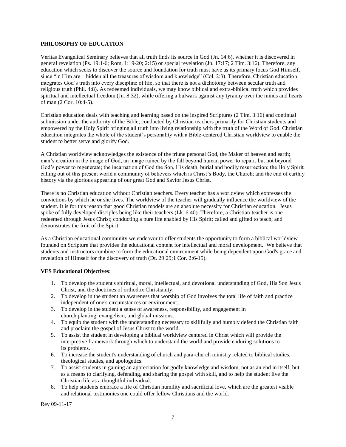## **PHILOSOPHY OF EDUCATION**

Veritas Evangelical Seminary believes that all truth finds its source in God (Jn. 14:6), whether it is discovered in general revelation (Ps. 19:1-6; Rom. 1:19-20; 2:15) or special revelation (Jn. 17:17; 2 Tim. 3:16). Therefore, any education which seeks to discover the source and foundation for truth must have as its primary focus God Himself, since "in Him are hidden all the treasures of wisdom and knowledge" (Col. 2:3). Therefore, Christian education integrates God's truth into every discipline of life, so that there is not a dichotomy between secular truth and religious truth (Phil. 4:8). As redeemed individuals, we may know biblical and extra-biblical truth which provides spiritual and intellectual freedom (Jn. 8:32), while offering a bulwark against any tyranny over the minds and hearts of man (2 Cor. 10:4-5).

Christian education deals with teaching and learning based on the inspired Scriptures (2 Tim. 3:16) and continual submission under the authority of the Bible; conducted by Christian teachers primarily for Christian students and empowered by the Holy Spirit bringing all truth into living relationship with the truth of the Word of God. Christian education integrates the whole of the student's personality with a Bible-centered Christian worldview to enable the student to better serve and glorify God.

A Christian worldview acknowledges the existence of the triune personal God, the Maker of heaven and earth; man's creation in the image of God, an image ruined by the fall beyond human power to repair, but not beyond God's power to regenerate; the incarnation of God the Son, His death, burial and bodily resurrection; the Holy Spirit calling out of this present world a community of believers which is Christ's Body, the Church; and the end of earthly history via the glorious appearing of our great God and Savior Jesus Christ.

There is no Christian education without Christian teachers. Every teacher has a worldview which expresses the convictions by which he or she lives. The worldview of the teacher will gradually influence the worldview of the student. It is for this reason that good Christian models are an absolute necessity for Christian education. Jesus spoke of fully developed disciples being like their teachers (Lk. 6:40). Therefore, a Christian teacher is one redeemed through Jesus Christ; conducting a pure life enabled by His Spirit; called and gifted to teach; and demonstrates the fruit of the Spirit.

As a Christian educational community we endeavor to offer students the opportunity to form a biblical worldview founded on Scripture that provides the educational content for intellectual and moral development. We believe that students and instructors combine to form the educational environment while being dependent upon God's grace and revelation of Himself for the discovery of truth (Dt. 29:29;1 Cor. 2:6-15).

## <span id="page-6-0"></span>**VES Educational Objectives**:

- 1. To develop the student's spiritual, moral, intellectual, and devotional understanding of God, His Son Jesus Christ, and the doctrines of orthodox Christianity.
- 2. To develop in the student an awareness that worship of God involves the total life of faith and practice independent of one's circumstances or environment.
- 3. To develop in the student a sense of awareness, responsibility, and engagement in church planting, evangelism, and global missions.
- 4. To equip the student with the understanding necessary to skillfully and humbly defend the Christian faith and proclaim the gospel of Jesus Christ to the world.
- 5. To assist the student in developing a biblical worldview centered in Christ which will provide the interpretive framework through which to understand the world and provide enduring solutions to its problems.
- 6. To increase the student's understanding of church and para-church ministry related to biblical studies, theological studies, and apologetics.
- 7. To assist students in gaining an appreciation for godly knowledge and wisdom, not as an end in itself, but as a means to clarifying, defending, and sharing the gospel with skill, and to help the student live the Christian life as a thoughtful individual.
- 8. To help students embrace a life of Christian humility and sacrificial love, which are the greatest visible and relational testimonies one could offer fellow Christians and the world.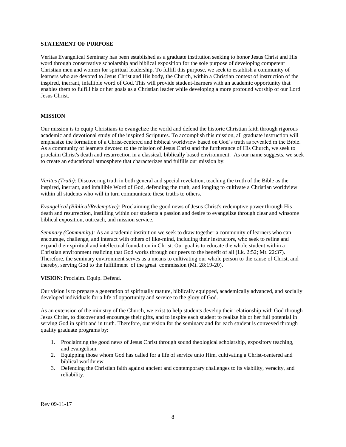### <span id="page-7-0"></span>**STATEMENT OF PURPOSE**

Veritas Evangelical Seminary has been established as a graduate institution seeking to honor Jesus Christ and His word through conservative scholarship and biblical exposition for the sole purpose of developing competent Christian men and women for spiritual leadership. To fulfill this purpose, we seek to establish a community of learners who are devoted to Jesus Christ and His body, the Church, within a Christian context of instruction of the inspired, inerrant, infallible word of God. This will provide student-learners with an academic opportunity that enables them to fulfill his or her goals as a Christian leader while developing a more profound worship of our Lord Jesus Christ.

### <span id="page-7-1"></span>**MISSION**

Our mission is to equip Christians to evangelize the world and defend the historic Christian faith through rigorous academic and devotional study of the inspired Scriptures. To accomplish this mission, all graduate instruction will emphasize the formation of a Christ-centered and biblical worldview based on God's truth as revealed in the Bible. As a community of learners devoted to the mission of Jesus Christ and the furtherance of His Church, we seek to proclaim Christ's death and resurrection in a classical, biblically based environment. As our name suggests, we seek to create an educational atmosphere that characterizes and fulfills our mission by:

*Veritas (Truth):* Discovering truth in both general and special revelation, teaching the truth of the Bible as the inspired, inerrant, and infallible Word of God, defending the truth, and longing to cultivate a Christian worldview within all students who will in turn communicate these truths to others.

*Evangelical (Biblical/Redemptive):* Proclaiming the good news of Jesus Christ's redemptive power through His death and resurrection, instilling within our students a passion and desire to evangelize through clear and winsome biblical exposition, outreach, and mission service.

*Seminary (Community):* As an academic institution we seek to draw together a community of learners who can encourage, challenge, and interact with others of like-mind, including their instructors, who seek to refine and expand their spiritual and intellectual foundation in Christ. Our goal is to educate the whole student within a Christian environment realizing that God works through our peers to the benefit of all (Lk. 2:52; Mt. 22:37). Therefore, the seminary environment serves as a means to cultivating our whole person to the cause of Christ, and thereby, serving God to the fulfillment of the great commission (Mt. 28:19-20).

<span id="page-7-2"></span>**VISION**: Proclaim. Equip. Defend.

Our vision is to prepare a generation of spiritually mature, biblically equipped, academically advanced, and socially developed individuals for a life of opportunity and service to the glory of God.

As an extension of the ministry of the Church, we exist to help students develop their relationship with God through Jesus Christ, to discover and encourage their gifts, and to inspire each student to realize his or her full potential in serving God in spirit and in truth. Therefore, our vision for the seminary and for each student is conveyed through quality graduate programs by:

- 1. Proclaiming the good news of Jesus Christ through sound theological scholarship, expository teaching, and evangelism.
- 2. Equipping those whom God has called for a life of service unto Him, cultivating a Christ-centered and biblical worldview.
- 3. Defending the Christian faith against ancient and contemporary challenges to its viability, veracity, and reliability.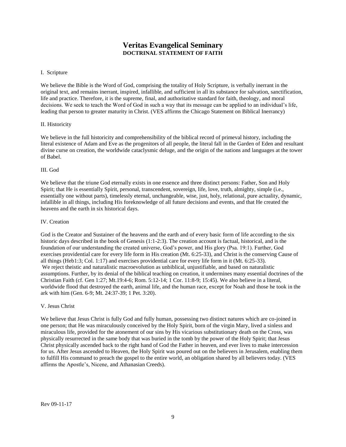# **Veritas Evangelical Seminary DOCTRINAL STATEMENT OF FAITH**

#### <span id="page-8-0"></span>I. Scripture

We believe the Bible is the Word of God, comprising the totality of Holy Scripture, is verbally inerrant in the original text, and remains inerrant, inspired, infallible, and sufficient in all its substance for salvation, sanctification, life and practice. Therefore, it is the supreme, final, and authoritative standard for faith, theology, and moral decisions. We seek to teach the Word of God in such a way that its message can be applied to an individual's life, leading that person to greater maturity in Christ. (VES affirms the Chicago Statement on Biblical Inerrancy)

## II. Historicity

We believe in the full historicity and comprehensibility of the biblical record of primeval history, including the literal existence of Adam and Eve as the progenitors of all people, the literal fall in the Garden of Eden and resultant divine curse on creation, the worldwide cataclysmic deluge, and the origin of the nations and languages at the tower of Babel.

#### III. God

We believe that the triune God eternally exists in one essence and three distinct persons: Father, Son and Holy Spirit; that He is essentially Spirit, personal, transcendent, sovereign, life, love, truth, almighty, simple (i.e., essentially one without parts), timelessly eternal, unchangeable, wise, just, holy, relational, pure actuality, dynamic, infallible in all things, including His foreknowledge of all future decisions and events, and that He created the heavens and the earth in six historical days.

#### IV. Creation

God is the Creator and Sustainer of the heavens and the earth and of every basic form of life according to the six historic days described in the book of Genesis (1:1-2:3). The creation account is factual, historical, and is the foundation of our understanding the created universe, God's power, and His glory (Psa. 19:1). Further, God exercises providential care for every life form in His creation (Mt. 6:25-33), and Christ is the conserving Cause of all things (Heb1:3; Col. 1:17) and exercises providential care for every life form in it (Mt. 6:25-33). We reject theistic and naturalistic macroevolution as unbiblical, unjustifiable, and based on naturalistic assumptions. Further, by its denial of the biblical teaching on creation, it undermines many essential doctrines of the Christian Faith (cf. Gen 1:27; Mt.19:4-6; Rom. 5:12-14; 1 Cor. 11:8-9; 15:45). We also believe in a literal, worldwide flood that destroyed the earth, animal life, and the human race, except for Noah and those he took in the ark with him (Gen. 6-9; Mt. 24:37-39; 1 Pet. 3:20).

#### V. Jesus Christ

We believe that Jesus Christ is fully God and fully human, possessing two distinct natures which are co-joined in one person; that He was miraculously conceived by the Holy Spirit, born of the virgin Mary, lived a sinless and miraculous life, provided for the atonement of our sins by His vicarious substitutionary death on the Cross, was physically resurrected in the same body that was buried in the tomb by the power of the Holy Spirit; that Jesus Christ physically ascended back to the right hand of God the Father in heaven, and ever lives to make intercession for us. After Jesus ascended to Heaven, the Holy Spirit was poured out on the believers in Jerusalem, enabling them to fulfill His command to preach the gospel to the entire world, an obligation shared by all believers today. (VES affirms the Apostle's, Nicene, and Athanasian Creeds).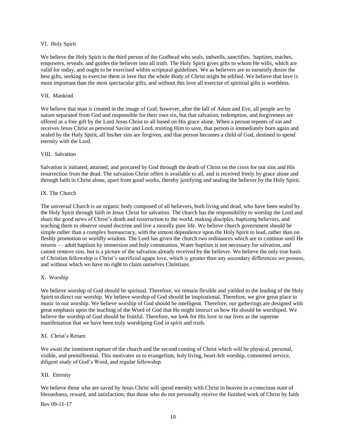#### VI. Holy Spirit

We believe the Holy Spirit is the third person of the Godhead who seals, indwells, sanctifies, baptizes, teaches, empowers, reveals, and guides the believer into all truth. The Holy Spirit gives gifts to whom He wills, which are valid for today, and ought to be exercised within scriptural guidelines. We as believers are to earnestly desire the best gifts, seeking to exercise them in love that the whole Body of Christ might be edified. We believe that love is more important than the most spectacular gifts, and without this love all exercise of spiritual gifts is worthless.

#### VII. Mankind

We believe that man is created in the image of God; however, after the fall of Adam and Eve, all people are by nature separated from God and responsible for their own sin, but that salvation, redemption, and forgiveness are offered as a free gift by the Lord Jesus Christ to all based on His grace alone. When a person repents of sin and receives Jesus Christ as personal Savior and Lord, trusting Him to save, that person is immediately born again and sealed by the Holy Spirit, all his/her sins are forgiven, and that person becomes a child of God, destined to spend eternity with the Lord.

### VIII. Salvation

Salvation is initiated, attained, and procured by God through the death of Christ on the cross for our sins and His resurrection from the dead. The salvation Christ offers is available to all, and is received freely by grace alone and through faith in Christ alone, apart from good works, thereby justifying and sealing the believer by the Holy Spirit.

### IX. The Church

The universal Church is an organic body composed of all believers, both living and dead, who have been sealed by the Holy Spirit through faith in Jesus Christ for salvation. The church has the responsibility to worship the Lord and share the good news of Christ's death and resurrection to the world, making disciples, baptizing believers, and teaching them to observe sound doctrine and live a morally pure life. We believe church government should be simple rather than a complex bureaucracy, with the utmost dependence upon the Holy Spirit to lead, rather than on fleshly promotion or worldly wisdom. The Lord has given the church two ordinances which are to continue until He returns — adult baptism by immersion and holy communion. Water baptism is not necessary for salvation, and cannot remove sins, but is a picture of the salvation already received by the believer. We believe the only true basis of Christian fellowship is Christ's sacrificial agape love, which is greater than any secondary differences we possess, and without which we have no right to claim ourselves Christians.

## X. Worship

We believe worship of God should be spiritual. Therefore, we remain flexible and yielded to the leading of the Holy Spirit to direct our worship. We believe worship of God should be inspirational. Therefore, we give great place to music in our worship. We believe worship of God should be intelligent. Therefore, our gatherings are designed with great emphasis upon the teaching of the Word of God that He might instruct us how He should be worshiped. We believe the worship of God should be fruitful. Therefore, we look for His love in our lives as the supreme manifestation that we have been truly worshiping God in spirit and truth.

#### XI. Christ's Return

We await the imminent rapture of the church and the second coming of Christ which will be physical, personal, visible, and premillennial. This motivates us to evangelism, holy living, heart-felt worship, committed service, diligent study of God's Word, and regular fellowship.

#### XII. Eternity

We believe those who are saved by Jesus Christ will spend eternity with Christ in heaven in a conscious state of blessedness, reward, and satisfaction; that those who do not personally receive the finished work of Christ by faith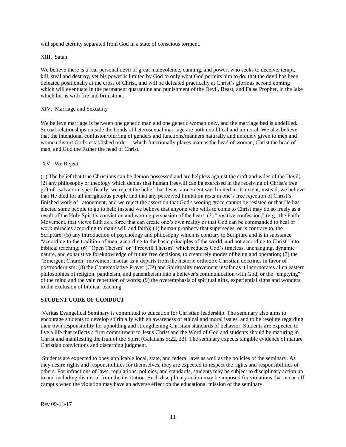will spend eternity separated from God in a state of conscious torment.

#### XIII. Satan

We believe there is a real personal devil of great malevolence, cunning, and power, who seeks to deceive, tempt, kill, steal and destroy, yet his power is limited by God to only what God permits him to do; that the devil has been defeated positionally at the cross of Christ, and will be defeated practically at Christ's glorious second coming which will eventuate in the permanent quarantine and punishment of the Devil, Beast, and False Prophet, in the lake which burns with fire and brimstone.

#### XIV. Marriage and Sexuality

We believe marriage is between one genetic man and one genetic woman only, and the marriage bed is undefiled. Sexual relationships outside the bonds of heterosexual marriage are both unbiblical and immoral. We also believe that the intentional confusion/blurring of genders and functions/manners naturally and uniquely given to men and women distort God's established order – which functionally places man as the head of woman, Christ the head of man, and God the Father the head of Christ.

#### XV. We Reject:

(1) The belief that true Christians can be demon possessed and are helpless against the craft and wiles of the Devil; (2) any philosophy or theology which denies that human freewill can be exercised in the receiving of Christ's free gift of salvation; specifically, we reject the belief that Jesus' atonement was limited in its extent, instead, we believe that He died for all unrighteous people and that any perceived limitation rests in one's free rejection of Christ's finished work of atonement, and we reject the assertion that God's wooing grace cannot be resisted or that He has elected some people to go to hell; instead we believe that anyone who wills to come to Christ may do so freely as a result of the Holy Spirit's conviction and wooing persuasion of the heart; (3) "positive confession," (e.g., the Faith Movement, that views faith as a force that can create one's own reality or that God can be commanded to heal or work miracles according to man's will and faith); (4) human prophecy that supersedes, or is contrary to, the Scripture; (5) any introduction of psychology and philosophy which is contrary to Scripture and is in substance "according to the tradition of men, according to the basic principles of the world, and not according to Christ" into biblical teaching; (6) "Open Theism" or "Freewill Theism" which reduces God's timeless, unchanging, dynamic nature, and exhaustive foreknowledge of future free decisions, to creaturely modes of being and operation; (7) the "Emergent Church" movement insofar as it departs from the historic orthodox Christian doctrines in favor of postmodernism; (8) the Contemplative Prayer (CP) and Spirituality movement insofar as it incorporates alien eastern philosophies of religion, pantheism, and panentheism into a believer's communication with God, or the "emptying" of the mind and the vain repetition of words; (9) the overemphasis of spiritual gifts, experiential signs and wonders to the exclusion of biblical teaching.

#### <span id="page-10-0"></span>**STUDENT CODE OF CONDUCT**

Veritas Evangelical Seminary is committed to education for Christian leadership. The seminary also aims to encourage students to develop spiritually with an awareness of ethical and moral issues, and to be resolute regarding their own responsibility for upholding and strengthening Christian standards of behavior. Students are expected to live a life that reflects a firm commitment to Jesus Christ and the Word of God and students should be maturing in Christ and manifesting the fruit of the Spirit (Galatians 5:22, 23). The seminary expects tangible evidence of mature Christian convictions and discerning judgment.

Students are expected to obey applicable local, state, and federal laws as well as the policies of the seminary. As they desire rights and responsibilities for themselves, they are expected to respect the rights and responsibilities of others. For infractions of laws, regulations, policies, and standards, students may be subject to disciplinary action up to and including dismissal from the institution. Such disciplinary action may be imposed for violations that occur off campus when the violation may have an adverse effect on the educational mission of the seminary.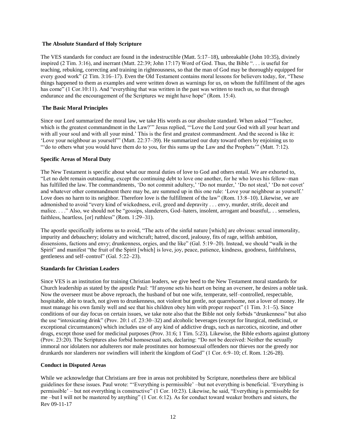#### <span id="page-11-0"></span>**The Absolute Standard of Holy Scripture**

The VES standards for conduct are found in the indestructible (Matt. 5:17–18), unbreakable (John 10:35), divinely inspired (2 Tim. 3:16), and inerrant (Matt. 22:39; John 17:17) Word of God. Thus, the Bible ". . . is useful for teaching, rebuking, correcting and training in righteousness, so that the man of God may be thoroughly equipped for every good work" (2 Tim. 3:16–17). Even the Old Testament contains moral lessons for believers today, for, "These things happened to them as examples and were written down as warnings for us, on whom the fulfillment of the ages has come" (1 Cor.10:11). And "everything that was written in the past was written to teach us, so that through endurance and the encouragement of the Scriptures we might have hope" (Rom. 15:4).

## <span id="page-11-1"></span>**The Basic Moral Principles**

Since our Lord summarized the moral law, we take His words as our absolute standard. When asked "'Teacher, which is the greatest commandment in the Law?"" Jesus replied, "'Love the Lord your God with all your heart and with all your soul and with all your mind.' This is the first and greatest commandment. And the second is like it: 'Love your neighbour as yourself'" (Matt. 22:37–39). He summarized our duty toward others by enjoining us to "'do to others what you would have them do to you, for this sums up the Law and the Prophets'" (Matt. 7:12).

### <span id="page-11-2"></span>**Specific Areas of Moral Duty**

The New Testament is specific about what our moral duties of love to God and others entail. We are exhorted to, "Let no debt remain outstanding, except the continuing debt to love one another, for he who loves his fellow–man has fulfilled the law. The commandments, 'Do not commit adultery,' 'Do not murder,' 'Do not steal,' 'Do not covet' and whatever other commandment there may be, are summed up in this one rule: 'Love your neighbour as yourself.' Love does no harm to its neighbor. Therefore love is the fulfillment of the law" (Rom. 13:8–10). Likewise, we are admonished to avoid "every kind of wickedness, evil, greed and depravity . . . envy, murder, strife, deceit and malice. . . ." Also, we should not be "gossips, slanderers, God–haters, insolent, arrogant and boastful,. . . senseless, faithless, heartless, [or] ruthless" (Rom. 1:29–31).

The apostle specifically informs us to avoid, "The acts of the sinful nature [which] are obvious: sexual immorality, impurity and debauchery; idolatry and witchcraft; hatred, discord, jealousy, fits of rage, selfish ambition, dissensions, factions and envy; drunkenness, orgies, and the like" (Gal. 5:19–20). Instead, we should "walk in the Spirit" and manifest "the fruit of the Spirit [which] is love, joy, peace, patience, kindness, goodness, faithfulness, gentleness and self–control" (Gal. 5:22–23).

## <span id="page-11-3"></span>**Standards for Christian Leaders**

Since VES is an institution for training Christian leaders, we give heed to the New Testament moral standards for Church leadership as stated by the apostle Paul: "If anyone sets his heart on being an overseer, he desires a noble task. Now the overseer must be above reproach, the husband of but one wife, temperate, self–controlled, respectable, hospitable, able to teach, not given to drunkenness, not violent but gentle, not quarrelsome, not a lover of money. He must manage his own family well and see that his children obey him with proper respect" (1 Tim. 3:1–5). Since conditions of our day focus on certain issues, we take note also that the Bible not only forbids "drunkenness" but also the use "intoxicating drink" (Prov. 20:1 cf. 23:30–32) and alcoholic beverages (except for liturgical, medicinal, or exceptional circumstances) which includes use of any kind of addictive drugs, such as narcotics, nicotine, and other drugs, except those used for medicinal purposes (Prov. 31:6; 1 Tim. 5:23). Likewise, the Bible exhorts against gluttony (Prov. 23:20). The Scriptures also forbid homosexual acts, declaring: "Do not be deceived: Neither the sexually immoral nor idolaters nor adulterers nor male prostitutes nor homosexual offenders nor thieves nor the greedy nor drunkards nor slanderers nor swindlers will inherit the kingdom of God" (1 Cor. 6:9–10; cf. Rom. 1:26-28).

#### <span id="page-11-4"></span>**Conduct in Disputed Areas**

Rev 09-11-17 While we acknowledge that Christians are free in areas not prohibited by Scripture, nonetheless there are biblical guidelines for these issues. Paul wrote: "'Everything is permissible' –but not everything is beneficial. 'Everything is permissible' – but not everything is constructive" (1 Cor. 10:23). Likewise, he said, "Everything is permissible for me –but I will not be mastered by anything" (1 Cor. 6:12). As for conduct toward weaker brothers and sisters, the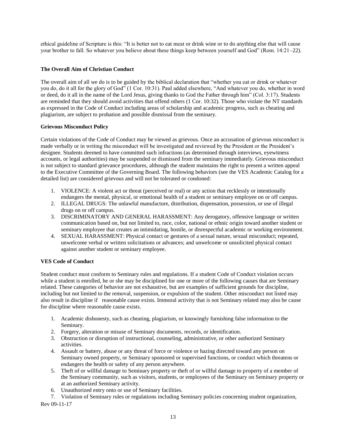ethical guideline of Scripture is this: "It is better not to eat meat or drink wine or to do anything else that will cause your brother to fall. So whatever you believe about these things keep between yourself and God" (Rom. 14:21–22).

## <span id="page-12-0"></span>**The Overall Aim of Christian Conduct**

The overall aim of all we do is to be guided by the biblical declaration that "whether you eat or drink or whatever you do, do it all for the glory of God" (1 Cor. 10:31). Paul added elsewhere, "And whatever you do, whether in word or deed, do it all in the name of the Lord Jesus, giving thanks to God the Father through him" (Col. 3:17). Students are reminded that they should avoid activities that offend others (1 Cor. 10:32). Those who violate the NT standards as expressed in the Code of Conduct including areas of scholarship and academic progress, such as cheating and plagiarism, are subject to probation and possible dismissal from the seminary.

## <span id="page-12-1"></span>**Grievous Misconduct Policy**

Certain violations of the Code of Conduct may be viewed as grievous. Once an accusation of grievous misconduct is made verbally or in writing the misconduct will be investigated and reviewed by the President or the President's designee. Students deemed to have committed such infractions (as determined through interviews, eyewitness accounts, or legal authorities) may be suspended or dismissed from the seminary immediately. Grievous misconduct is not subject to standard grievance procedures, although the student maintains the right to present a written appeal to the Executive Committee of the Governing Board. The following behaviors (see the VES Academic Catalog for a detailed list) are considered grievous and will not be tolerated or condoned:

- 1. VIOLENCE: A violent act or threat (perceived or real) or any action that recklessly or intentionally endangers the mental, physical, or emotional health of a student or seminary employee on or off campus.
- 2. ILLEGAL DRUGS: The unlawful manufacture, distribution, dispensation, possession, or use of illegal drugs on or off campus.
- 3. DISCRIMINATORY AND GENERAL HARASSMENT: Any derogatory, offensive language or written communication based on, but not limited to, race, color, national or ethnic origin toward another student or seminary employee that creates an intimidating, hostile, or disrespectful academic or working environment.
- 4. SEXUAL HARASSMENT: Physical contact or gestures of a sexual nature, sexual misconduct; repeated, unwelcome verbal or written solicitations or advances; and unwelcome or unsolicited physical contact against another student or seminary employee.

## <span id="page-12-2"></span>**VES Code of Conduct**

Student conduct must conform to Seminary rules and regulations. If a student Code of Conduct violation occurs while a student is enrolled, he or she may be disciplined for one or more of the following causes that are Seminary related. These categories of behavior are not exhaustive, but are examples of sufficient grounds for discipline, including but not limited to the removal, suspension, or expulsion of the student. Other misconduct not listed may also result in discipline if reasonable cause exists. Immoral activity that is not Seminary related may also be cause for discipline where reasonable cause exists.

- 1. Academic dishonesty, such as cheating, plagiarism, or knowingly furnishing false information to the Seminary.
- 2. Forgery, alteration or misuse of Seminary documents, records, or identification.
- 3. Obstruction or disruption of instructional, counseling, administrative, or other authorized Seminary activities.
- 4. Assault or battery, abuse or any threat of force or violence or hazing directed toward any person on Seminary owned property, or Seminary sponsored or supervised functions, or conduct which threatens or endangers the health or safety of any person anywhere.
- 5. Theft of or willful damage to Seminary property or theft of or willful damage to property of a member of the Seminary community, such as visitors, students, or employees of the Seminary on Seminary property or at an authorized Seminary activity.
- 6. Unauthorized entry onto or use of Seminary facilities.
- 7. Violation of Seminary rules or regulations including Seminary policies concerning student organization,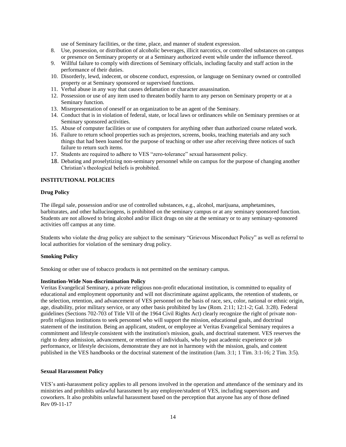use of Seminary facilities, or the time, place, and manner of student expression.

- 8. Use, possession, or distribution of alcoholic beverages, illicit narcotics, or controlled substances on campus or presence on Seminary property or at a Seminary authorized event while under the influence thereof.
- 9. Willful failure to comply with directions of Seminary officials, including faculty and staff action in the performance of their duties.
- 10. Disorderly, lewd, indecent, or obscene conduct, expression, or language on Seminary owned or controlled property or at Seminary sponsored or supervised functions.
- 11. Verbal abuse in any way that causes defamation or character assassination.
- 12. Possession or use of any item used to threaten bodily harm to any person on Seminary property or at a Seminary function.
- 13. Misrepresentation of oneself or an organization to be an agent of the Seminary.
- 14. Conduct that is in violation of federal, state, or local laws or ordinances while on Seminary premises or at Seminary sponsored activities.
- 15. Abuse of computer facilities or use of computers for anything other than authorized course related work.
- 16. Failure to return school properties such as projectors, screens, books, teaching materials and any such things that had been loaned for the purpose of teaching or other use after receiving three notices of such failure to return such items.
- 17. Students are required to adhere to VES "zero-tolerance" sexual harassment policy.
- 18. Debating and proselytizing non-seminary personnel while on campus for the purpose of changing another Christian's theological beliefs is prohibited.

### **INSTITUTIONAL POLICIES**

#### <span id="page-13-0"></span>**Drug Policy**

The illegal sale, possession and/or use of controlled substances, e.g., alcohol, marijuana, amphetamines, barbiturates, and other hallucinogens, is prohibited on the seminary campus or at any seminary sponsored function. Students are not allowed to bring alcohol and/or illicit drugs on site at the seminary or to any seminary-sponsored activities off campus at any time.

Students who violate the drug policy are subject to the seminary "Grievous Misconduct Policy" as well as referral to local authorities for violation of the seminary drug policy.

#### <span id="page-13-1"></span>**Smoking Policy**

Smoking or other use of tobacco products is not permitted on the seminary campus.

#### <span id="page-13-2"></span>**Institution-Wide Non-discrimination Policy**

<span id="page-13-3"></span>Veritas Evangelical Seminary, a private religious non-profit educational institution, is committed to equality of educational and employment opportunity and will not discriminate against applicants, the retention of students, or the selection, retention, and advancement of VES personnel on the basis of race, sex, color, national or ethnic origin, age, disability, prior military service, or any other basis prohibited by law (Rom. 2:11; 12:1-2; Gal. 3:28). Federal guidelines (Sections 702-703 of Title VII of the 1964 Civil Rights Act) clearly recognize the right of private nonprofit religious institutions to seek personnel who will support the mission, educational goals, and doctrinal statement of the institution. Being an applicant, student, or employee at Veritas Evangelical Seminary requires a commitment and lifestyle consistent with the institution's mission, goals, and doctrinal statement. VES reserves the right to deny admission, advancement, or retention of individuals, who by past academic experience or job performance, or lifestyle decisions, demonstrate they are not in harmony with the mission, goals, and content published in the VES handbooks or the doctrinal statement of the institution (Jam. 3:1; 1 Tim. 3:1-16; 2 Tim. 3:5).

#### **Sexual Harassment Policy**

Rev 09-11-17 VES's anti-harassment policy applies to all persons involved in the operation and attendance of the seminary and its ministries and prohibits unlawful harassment by any employee/student of VES, including supervisors and coworkers. It also prohibits unlawful harassment based on the perception that anyone has any of those defined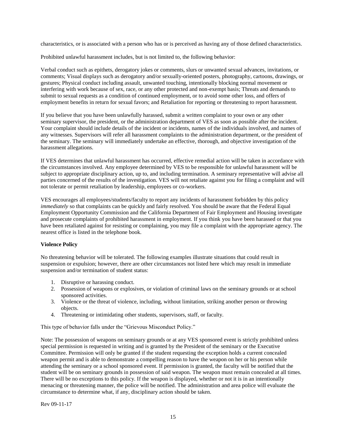characteristics, or is associated with a person who has or is perceived as having any of those defined characteristics.

Prohibited unlawful harassment includes, but is not limited to, the following behavior:

Verbal conduct such as epithets, derogatory jokes or comments, slurs or unwanted sexual advances, invitations, or comments; Visual displays such as derogatory and/or sexually-oriented posters, photography, cartoons, drawings, or gestures; Physical conduct including assault, unwanted touching, intentionally blocking normal movement or interfering with work because of sex, race, or any other protected and non-exempt basis; Threats and demands to submit to sexual requests as a condition of continued employment, or to avoid some other loss, and offers of employment benefits in return for sexual favors; and Retaliation for reporting or threatening to report harassment.

If you believe that you have been unlawfully harassed, submit a written complaint to your own or any other seminary supervisor, the president, or the administration department of VES as soon as possible after the incident. Your complaint should include details of the incident or incidents, names of the individuals involved, and names of any witnesses. Supervisors will refer all harassment complaints to the administration department, or the president of the seminary. The seminary will immediately undertake an effective, thorough, and objective investigation of the harassment allegations.

If VES determines that unlawful harassment has occurred, effective remedial action will be taken in accordance with the circumstances involved. Any employee determined by VES to be responsible for unlawful harassment will be subject to appropriate disciplinary action, up to, and including termination. A seminary representative will advise all parties concerned of the results of the investigation. VES will not retaliate against you for filing a complaint and will not tolerate or permit retaliation by leadership, employees or co-workers.

VES encourages all employees/students/faculty to report any incidents of harassment forbidden by this policy *immediately* so that complaints can be quickly and fairly resolved. You should be aware that the Federal Equal Employment Opportunity Commission and the California Department of Fair Employment and Housing investigate and prosecute complaints of prohibited harassment in employment. If you think you have been harassed or that you have been retaliated against for resisting or complaining, you may file a complaint with the appropriate agency. The nearest office is listed in the telephone book.

#### <span id="page-14-0"></span>**Violence Policy**

No threatening behavior will be tolerated. The following examples illustrate situations that could result in suspension or expulsion; however, there are other circumstances not listed here which may result in immediate suspension and/or termination of student status:

- 1. Disruptive or harassing conduct.
- 2. Possession of weapons or explosives, or violation of criminal laws on the seminary grounds or at school sponsored activities.
- 3. Violence or the threat of violence, including, without limitation, striking another person or throwing objects.
- 4. Threatening or intimidating other students, supervisors, staff, or faculty.

This type of behavior falls under the "Grievous Misconduct Policy."

Note: The possession of weapons on seminary grounds or at any VES sponsored event is strictly prohibited unless special permission is requested in writing and is granted by the President of the seminary or the Executive Committee. Permission will only be granted if the student requesting the exception holds a current concealed weapon permit and is able to demonstrate a compelling reason to have the weapon on her or his person while attending the seminary or a school sponsored event. If permission is granted, the faculty will be notified that the student will be on seminary grounds in possession of said weapon. The weapon must remain concealed at all times. There will be no exceptions to this policy. If the weapon is displayed, whether or not it is in an intentionally menacing or threatening manner, the police will be notified. The administration and area police will evaluate the circumstance to determine what, if any, disciplinary action should be taken.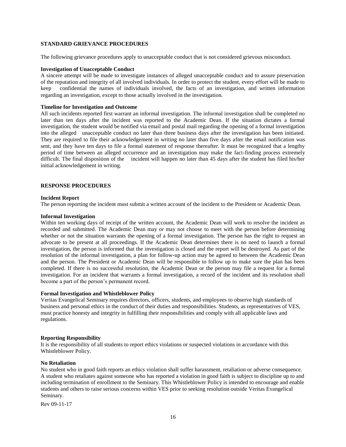#### <span id="page-15-0"></span>**STANDARD GRIEVANCE PROCEDURES**

The following grievance procedures apply to unacceptable conduct that is not considered grievous misconduct.

#### <span id="page-15-1"></span>**Investigation of Unacceptable Conduct**

A sincere attempt will be made to investigate instances of alleged unacceptable conduct and to assure preservation of the reputation and integrity of all involved individuals. In order to protect the student, every effort will be made to keep confidential the names of individuals involved, the facts of an investigation, and written information regarding an investigation, except to those actually involved in the investigation.

#### <span id="page-15-2"></span>**Timeline for Investigation and Outcome**

All such incidents reported first warrant an informal investigation. The informal investigation shall be completed no later than ten days after the incident was reported to the Academic Dean. If the situation dictates a formal investigation, the student would be notified via email and postal mail regarding the opening of a formal investigation into the alleged unacceptable conduct no later than three business days after the investigation has been initiated. They are required to file their acknowledgement in writing no later than five days after the email notification was sent, and they have ten days to file a formal statement of response thereafter. It must be recognized that a lengthy period of time between an alleged occurrence and an investigation may make the fact-finding process extremely difficult. The final disposition of the incident will happen no later than 45 days after the student has filed his/her initial acknowledgement in writing.

#### <span id="page-15-4"></span><span id="page-15-3"></span>**RESPONSE PROCEDURES**

#### **Incident Report**

The person reporting the incident must submit a written account of the incident to the President or Academic Dean.

#### <span id="page-15-5"></span>**Informal Investigation**

Within ten working days of receipt of the written account, the Academic Dean will work to resolve the incident as recorded and submitted. The Academic Dean may or may not choose to meet with the person before determining whether or not the situation warrants the opening of a formal investigation. The person has the right to request an advocate to be present at all proceedings. If the Academic Dean determines there is no need to launch a formal investigation, the person is informed that the investigation is closed and the report will be destroyed. As part of the resolution of the informal investigation, a plan for follow-up action may be agreed to between the Academic Dean and the person. The President or Academic Dean will be responsible to follow up to make sure the plan has been completed. If there is no successful resolution, the Academic Dean or the person may file a request for a formal investigation. For an incident that warrants a formal investigation, a record of the incident and its resolution shall become a part of the person's permanent record.

#### <span id="page-15-6"></span>**Formal Investigation and Whistleblower Policy**

<span id="page-15-7"></span>Veritas Evangelical Seminary requires directors, officers, students, and employees to observe high standards of business and personal ethics in the conduct of their duties and responsibilities. Students, as representatives of VES, must practice honesty and integrity in fulfilling their responsibilities and comply with all applicable laws and regulations.

### **Reporting Responsibility**

It is the responsibility of all students to report ethics violations or suspected violations in accordance with this Whistleblower Policy.

## <span id="page-15-8"></span>**No Retaliation**

No student who in good faith reports an ethics violation shall suffer harassment, retaliation or adverse consequence. A student who retaliates against someone who has reported a violation in good faith is subject to discipline up to and including termination of enrollment to the Seminary. This Whistleblower Policy is intended to encourage and enable students and others to raise serious concerns within VES prior to seeking resolution outside Veritas Evangelical Seminary.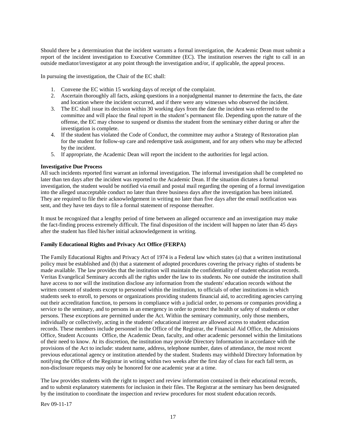Should there be a determination that the incident warrants a formal investigation, the Academic Dean must submit a report of the incident investigation to Executive Committee (EC). The institution reserves the right to call in an outside mediator/investigator at any point through the investigation and/or, if applicable, the appeal process.

In pursuing the investigation, the Chair of the EC shall:

- 1. Convene the EC within 15 working days of receipt of the complaint.
- 2. Ascertain thoroughly all facts, asking questions in a nonjudgmental manner to determine the facts, the date and location where the incident occurred, and if there were any witnesses who observed the incident.
- 3. The EC shall issue its decision within 30 working days from the date the incident was referred to the committee and will place the final report in the student's permanent file. Depending upon the nature of the offense, the EC may choose to suspend or dismiss the student from the seminary either during or after the investigation is complete.
- 4. If the student has violated the Code of Conduct, the committee may author a Strategy of Restoration plan for the student for follow-up care and redemptive task assignment, and for any others who may be affected by the incident.
- 5. If appropriate, the Academic Dean will report the incident to the authorities for legal action.

### <span id="page-16-0"></span>**Investigative Due Process**

All such incidents reported first warrant an informal investigation. The informal investigation shall be completed no later than ten days after the incident was reported to the Academic Dean. If the situation dictates a formal investigation, the student would be notified via email and postal mail regarding the opening of a formal investigation into the alleged unacceptable conduct no later than three business days after the investigation has been initiated. They are required to file their acknowledgement in writing no later than five days after the email notification was sent, and they have ten days to file a formal statement of response thereafter.

It must be recognized that a lengthy period of time between an alleged occurrence and an investigation may make the fact-finding process extremely difficult. The final disposition of the incident will happen no later than 45 days after the student has filed his/her initial acknowledgement in writing.

#### <span id="page-16-1"></span>**Family Educational Rights and Privacy Act Office (FERPA)**

The Family Educational Rights and Privacy Act of 1974 is a Federal law which states (a) that a written institutional policy must be established and (b) that a statement of adopted procedures covering the privacy rights of students be made available. The law provides that the institution will maintain the confidentiality of student education records. Veritas Evangelical Seminary accords all the rights under the law to its students. No one outside the institution shall have access to nor will the institution disclose any information from the students' education records without the written consent of students except to personnel within the institution, to officials of other institutions in which students seek to enroll, to persons or organizations providing students financial aid, to accrediting agencies carrying out their accreditation function, to persons in compliance with a judicial order, to persons or companies providing a service to the seminary, and to persons in an emergency in order to protect the health or safety of students or other persons. These exceptions are permitted under the Act. Within the seminary community, only those members, individually or collectively, acting in the students' educational interest are allowed access to student education records. These members include personnel in the Office of the Registrar, the Financial Aid Office, the Admissions Office, Student Accounts Office, the Academic Dean, faculty, and other academic personnel within the limitations of their need to know. At its discretion, the institution may provide Directory Information in accordance with the provisions of the Act to include: student name, address, telephone number, dates of attendance, the most recent previous educational agency or institution attended by the student. Students may withhold Directory Information by notifying the Office of the Registrar in writing within two weeks after the first day of class for each fall term, as non-disclosure requests may only be honored for one academic year at a time.

The law provides students with the right to inspect and review information contained in their educational records, and to submit explanatory statements for inclusion in their files. The Registrar at the seminary has been designated by the institution to coordinate the inspection and review procedures for most student education records.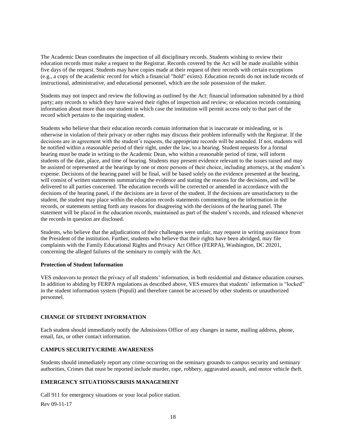The Academic Dean coordinates the inspection of all disciplinary records. Students wishing to review their education records must make a request to the Registrar. Records covered by the Act will be made available within five days of the request. Students may have copies made at their request of their records with certain exceptions (e.g., a copy of the academic record for which a financial "hold" exists). Education records do not include records of instructional, administrative, and educational personnel, which are the sole possession of the maker.

Students may not inspect and review the following as outlined by the Act: financial information submitted by a third party; any records to which they have waived their rights of inspection and review; or education records containing information about more than one student in which case the institution will permit access only to that part of the record which pertains to the inquiring student.

Students who believe that their education records contain information that is inaccurate or misleading, or is otherwise in violation of their privacy or other rights may discuss their problem informally with the Registrar. If the decisions are in agreement with the student's requests, the appropriate records will be amended. If not, students will be notified within a reasonable period of their right, under the law, to a hearing. Student requests for a formal hearing must be made in writing to the Academic Dean, who within a reasonable period of time, will inform students of the date, place, and time of hearing. Students may present evidence relevant to the issues raised and may be assisted or represented at the hearings by one or more persons of their choice, including attorneys, at the student's expense. Decisions of the hearing panel will be final, will be based solely on the evidence presented at the hearing, will consist of written statements summarizing the evidence and stating the reasons for the decisions, and will be delivered to all parties concerned. The education records will be corrected or amended in accordance with the decisions of the hearing panel, if the decisions are in favor of the student. If the decisions are unsatisfactory to the student, the student may place within the education records statements commenting on the information in the records, or statements setting forth any reasons for disagreeing with the decisions of the hearing panel. The statement will be placed in the education records, maintained as part of the student's records, and released whenever the records in question are disclosed.

Students, who believe that the adjudications of their challenges were unfair, may request in writing assistance from the President of the institution. Further, students who believe that their rights have been abridged, may file complaints with the Family Educational Rights and Privacy Act Office (FERPA), Washington, DC 20201, concerning the alleged failures of the seminary to comply with the Act.

#### **Protection of Student Information**

VES endeavors to protect the privacy of all students' information, in both residential and distance education courses. In addition to abiding by FERPA regulations as described above, VES ensures that students' information is "locked" in the student information system (Populi) and therefore cannot be accessed by other students or unauthorized personnel.

#### <span id="page-17-0"></span>**CHANGE OF STUDENT INFORMATION**

<span id="page-17-1"></span>Each student should immediately notify the Admissions Office of any changes in name, mailing address, phone, email, fax, or other contact information.

## **CAMPUS SECURITY/CRIME AWARENESS**

Students should immediately report any crime occurring on the seminary grounds to campus security and seminary authorities. Crimes that must be reported include murder, rape, robbery, aggravated assault, and motor vehicle theft.

## **EMERGENCY SITUATIONS/CRISIS MANAGEMENT**

Rev 09-11-17 Call 911 for emergency situations or your local police station.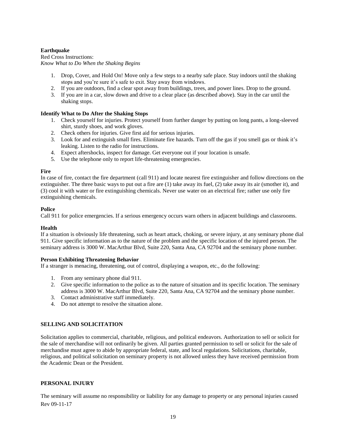## <span id="page-18-0"></span>**Earthquake**

Red Cross Instructions: *Know What to Do When the Shaking Begins*

- 1. Drop, Cover, and Hold On! Move only a few steps to a nearby safe place. Stay indoors until the shaking stops and you're sure it's safe to exit. Stay away from windows.
- 2. If you are outdoors, find a clear spot away from buildings, trees, and power lines. Drop to the ground.
- 3. If you are in a car, slow down and drive to a clear place (as described above). Stay in the car until the shaking stops.

## <span id="page-18-1"></span>**Identify What to Do After the Shaking Stops**

- 1. Check yourself for injuries. Protect yourself from further danger by putting on long pants, a long-sleeved shirt, sturdy shoes, and work gloves.
- 2. Check others for injuries. Give first aid for serious injuries.
- 3. Look for and extinguish small fires. Eliminate fire hazards. Turn off the gas if you smell gas or think it's leaking. Listen to the radio for instructions.
- 4. Expect aftershocks, inspect for damage. Get everyone out if your location is unsafe.
- 5. Use the telephone only to report life-threatening emergencies.

## <span id="page-18-2"></span>**Fire**

In case of fire, contact the fire department (call 911) and locate nearest fire extinguisher and follow directions on the extinguisher. The three basic ways to put out a fire are (1) take away its fuel, (2) take away its air (smother it), and (3) cool it with water or fire extinguishing chemicals. Never use water on an electrical fire; rather use only fire extinguishing chemicals.

## <span id="page-18-3"></span>**Police**

Call 911 for police emergencies. If a serious emergency occurs warn others in adjacent buildings and classrooms.

## <span id="page-18-4"></span>**Health**

If a situation is obviously life threatening, such as heart attack, choking, or severe injury, at any seminary phone dial 911. Give specific information as to the nature of the problem and the specific location of the injured person. The seminary address is 3000 W. MacArthur Blvd, Suite 220, Santa Ana, CA 92704 and the seminary phone number.

#### <span id="page-18-5"></span>**Person Exhibiting Threatening Behavior**

If a stranger is menacing, threatening, out of control, displaying a weapon, etc., do the following:

- 1. From any seminary phone dial 911.
- 2. Give specific information to the police as to the nature of situation and its specific location. The seminary address is 3000 W. MacArthur Blvd, Suite 220, Santa Ana, CA 92704 and the seminary phone number.
- 3. Contact administrative staff immediately.
- 4. Do not attempt to resolve the situation alone.

## <span id="page-18-6"></span>**SELLING AND SOLICITATION**

Solicitation applies to commercial, charitable, religious, and political endeavors. Authorization to sell or solicit for the sale of merchandise will not ordinarily be given. All parties granted permission to sell or solicit for the sale of merchandise must agree to abide by appropriate federal, state, and local regulations. Solicitations, charitable, religious, and political solicitation on seminary property is not allowed unless they have received permission from the Academic Dean or the President.

## <span id="page-18-7"></span>**PERSONAL INJURY**

Rev 09-11-17 The seminary will assume no responsibility or liability for any damage to property or any personal injuries caused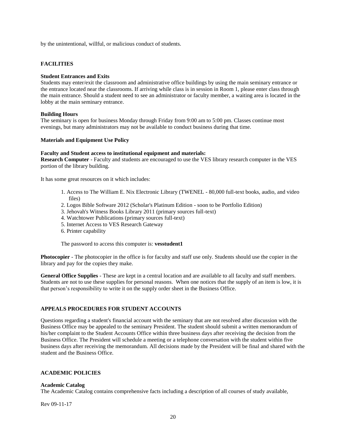by the unintentional, willful, or malicious conduct of students.

## <span id="page-19-1"></span><span id="page-19-0"></span>**FACILITIES**

#### **Student Entrances and Exits**

Students may enter/exit the classroom and administrative office buildings by using the main seminary entrance or the entrance located near the classrooms. If arriving while class is in session in Room 1, please enter class through the main entrance. Should a student need to see an administrator or faculty member, a waiting area is located in the lobby at the main seminary entrance.

#### <span id="page-19-2"></span>**Building Hours**

The seminary is open for business Monday through Friday from 9:00 am to 5:00 pm. Classes continue most evenings, but many administrators may not be available to conduct business during that time.

#### **Materials and Equipment Use Policy**

#### **Faculty and Student access to institutional equipment and materials:**

**Research Computer** - Faculty and students are encouraged to use the VES library research computer in the VES portion of the library building.

It has some great resources on it which includes:

- 1. Access to The William E. Nix Electronic Library (TWENEL 80,000 full-text books, audio, and video files)
- 2. Logos Bible Software 2012 (Scholar's Platinum Edition soon to be Portfolio Edition)
- 3. Jehovah's Witness Books Library 2011 (primary sources full-text)
- 4. Watchtower Publications (primary sources full-text)
- 5. Internet Access to VES Research Gateway
- 6. Printer capability

The password to access this computer is: **vesstudent1**

**Photocopier** - The photocopier in the office is for faculty and staff use only. Students should use the copier in the library and pay for the copies they make.

**General Office Supplies** - These are kept in a central location and are available to all faculty and staff members. Students are not to use these supplies for personal reasons. When one notices that the supply of an item is low, it is that person's responsibility to write it on the supply order sheet in the Business Office.

#### <span id="page-19-3"></span>**APPEALS PROCEDURES FOR STUDENT ACCOUNTS**

Questions regarding a student's financial account with the seminary that are not resolved after discussion with the Business Office may be appealed to the seminary President. The student should submit a written memorandum of his/her complaint to the Student Accounts Office within three business days after receiving the decision from the Business Office. The President will schedule a meeting or a telephone conversation with the student within five business days after receiving the memorandum. All decisions made by the President will be final and shared with the student and the Business Office.

### <span id="page-19-4"></span>**ACADEMIC POLICIES**

#### <span id="page-19-5"></span>**Academic Catalog**

The Academic Catalog contains comprehensive facts including a description of all courses of study available,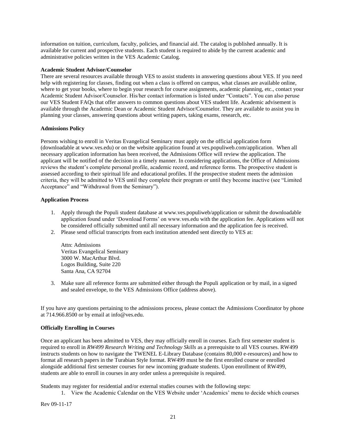information on tuition, curriculum, faculty, policies, and financial aid. The catalog is published annually. It is available for current and prospective students. Each student is required to abide by the current academic and administrative policies written in the VES Academic Catalog.

#### **Academic Student Advisor/Counselor**

There are several resources available through VES to assist students in answering questions about VES. If you need help with registering for classes, finding out when a class is offered on campus, what classes are available online, where to get your books, where to begin your research for course assignments, academic planning, etc., contact your Academic Student Advisor/Counselor. His/her contact information is listed under "Contacts". You can also peruse our VES Student FAQs that offer answers to common questions about VES student life. Academic advisement is available through the Academic Dean or Academic Student Advisor/Counselor. They are available to assist you in planning your classes, answering questions about writing papers, taking exams, research, etc.

### **Admissions Policy**

Persons wishing to enroll in Veritas Evangelical Seminary must apply on the official application form (downloadable at www.ves.edu) or on the website application found at ves.populiweb.com/application. When all necessary application information has been received, the Admissions Office will review the application. The applicant will be notified of the decision in a timely manner. In considering applications, the Office of Admissions reviews the student's complete personal profile, academic record, and reference forms. The prospective student is assessed according to their spiritual life and educational profiles. If the prospective student meets the admission criteria, they will be admitted to VES until they complete their program or until they become inactive (see "Limited Acceptance" and "Withdrawal from the Seminary").

### **Application Process**

- 1. Apply through the Populi student database at www.ves.populiweb/application or submit the downloadable application found under 'Download Forms' on www.ves.edu with the application fee. Applications will not be considered officially submitted until all necessary information and the application fee is received.
- 2. Please send official transcripts from each institution attended sent directly to VES at:

Attn: Admissions Veritas Evangelical Seminary 3000 W. MacArthur Blvd. Logos Building, Suite 220 Santa Ana, CA 92704

3. Make sure all reference forms are submitted either through the Populi application or by mail, in a signed and sealed envelope, to the VES Admissions Office (address above).

If you have any questions pertaining to the admissions process, please contact the Admissions Coordinator by phone at 714.966.8500 or by email at info@ves.edu.

#### **Officially Enrolling in Courses**

Once an applicant has been admitted to VES, they may officially enroll in courses. Each first semester student is required to enroll in *RW499 Research Writing and Technology Skills* as a prerequisite to all VES courses. RW499 instructs students on how to navigate the TWENEL E-Library Database (contains 80,000 e-resources) and how to format all research papers in the Turabian Style format. RW499 must be the first enrolled course or enrolled alongside additional first semester courses for new incoming graduate students. Upon enrollment of RW499, students are able to enroll in courses in any order unless a prerequisite is required.

Students may register for residential and/or external studies courses with the following steps:

1. View the Academic Calendar on the VES Website under 'Academics' menu to decide which courses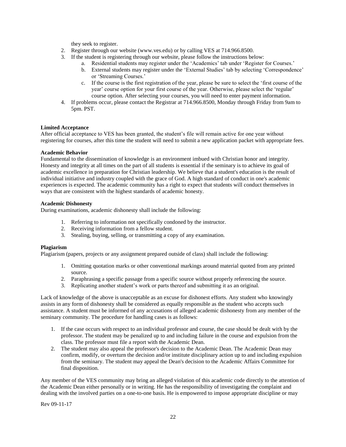they seek to register.

- 2. Register through our website (www.ves.edu) or by calling VES at 714.966.8500.
- 3. If the student is registering through our website, please follow the instructions below:
	- a. Residential students may register under the 'Academics' tab under 'Register for Courses.'
	- b. External students may register under the 'External Studies' tab by selecting 'Correspondence' or 'Streaming Courses.'
	- c. If the course is the first registration of the year, please be sure to select the 'first course of the year' course option for your first course of the year. Otherwise, please select the 'regular' course option. After selecting your courses, you will need to enter payment information.
- 4. If problems occur, please contact the Registrar at 714.966.8500, Monday through Friday from 9am to 5pm. PST.

### <span id="page-21-0"></span>**Limited Acceptance**

After official acceptance to VES has been granted, the student's file will remain active for one year without registering for courses, after this time the student will need to submit a new application packet with appropriate fees.

### <span id="page-21-1"></span>**Academic Behavior**

Fundamental to the dissemination of knowledge is an environment imbued with Christian honor and integrity. Honesty and integrity at all times on the part of all students is essential if the seminary is to achieve its goal of academic excellence in preparation for Christian leadership. We believe that a student's education is the result of individual initiative and industry coupled with the grace of God. A high standard of conduct in one's academic experiences is expected. The academic community has a right to expect that students will conduct themselves in ways that are consistent with the highest standards of academic honesty.

#### <span id="page-21-2"></span>**Academic Dishonesty**

During examinations, academic dishonesty shall include the following:

- 1. Referring to information not specifically condoned by the instructor.
- 2. Receiving information from a fellow student.
- 3. Stealing, buying, selling, or transmitting a copy of any examination.

#### <span id="page-21-3"></span>**Plagiarism**

Plagiarism (papers, projects or any assignment prepared outside of class) shall include the following:

- 1. Omitting quotation marks or other conventional markings around material quoted from any printed source.
- 2. Paraphrasing a specific passage from a specific source without properly referencing the source.
- 3. Replicating another student's work or parts thereof and submitting it as an original.

Lack of knowledge of the above is unacceptable as an excuse for dishonest efforts. Any student who knowingly assists in any form of dishonesty shall be considered as equally responsible as the student who accepts such assistance. A student must be informed of any accusations of alleged academic dishonesty from any member of the seminary community. The procedure for handling cases is as follows:

- 1. If the case occurs with respect to an individual professor and course, the case should be dealt with by the professor. The student may be penalized up to and including failure in the course and expulsion from the class. The professor must file a report with the Academic Dean.
- 2. The student may also appeal the professor's decision to the Academic Dean. The Academic Dean may confirm, modify, or overturn the decision and/or institute disciplinary action up to and including expulsion from the seminary. The student may appeal the Dean's decision to the Academic Affairs Committee for final disposition.

Any member of the VES community may bring an alleged violation of this academic code directly to the attention of the Academic Dean either personally or in writing. He has the responsibility of investigating the complaint and dealing with the involved parties on a one-to-one basis. He is empowered to impose appropriate discipline or may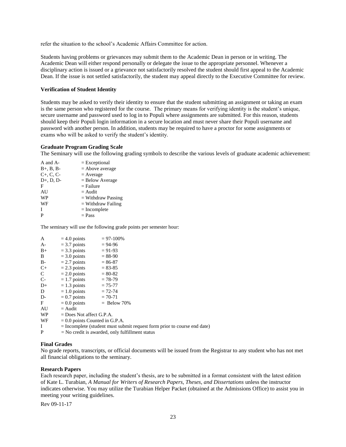refer the situation to the school's Academic Affairs Committee for action.

Students having problems or grievances may submit them to the Academic Dean in person or in writing. The Academic Dean will either respond personally or delegate the issue to the appropriate personnel. Whenever a disciplinary action is issued or a grievance not satisfactorily resolved the student should first appeal to the Academic Dean. If the issue is not settled satisfactorily, the student may appeal directly to the Executive Committee for review.

#### <span id="page-22-0"></span>**Verification of Student Identity**

Students may be asked to verify their identity to ensure that the student submitting an assignment or taking an exam is the same person who registered for the course. The primary means for verifying identity is the student's unique, secure username and password used to log in to Populi where assignments are submitted. For this reason, students should keep their Populi login information in a secure location and must never share their Populi username and password with another person. In addition, students may be required to have a proctor for some assignments or exams who will be asked to verify the student's identity.

#### **Graduate Program Grading Scale**

The Seminary will use the following grading symbols to describe the various levels of graduate academic achievement:

| A and A-    | $=$ Exceptional      |
|-------------|----------------------|
| $B+, B, B-$ | $=$ Above average    |
| $C+, C, C-$ | $=$ Average          |
| $D+, D, D-$ | $=$ Below Average    |
| F           | $=$ Failure          |
| AU          | $=$ Audit            |
| <b>WP</b>   | $=$ Withdraw Passing |
| WF          | $=$ Withdraw Failing |
| T           | $= Incomplete$       |
| P           | $=$ Pass             |
|             |                      |

The seminary will use the following grade points per semester hour:

| A            | $= 4.0$ points                   | $= 97 - 100\%$                                                             |
|--------------|----------------------------------|----------------------------------------------------------------------------|
| $A-$         | $=$ 3.7 points                   | $= 94-96$                                                                  |
| $B+$         | $=$ 3.3 points                   | $= 91-93$                                                                  |
| B            | $=$ 3.0 points                   | $= 88-90$                                                                  |
| $B-$         | $= 2.7$ points                   | $= 86 - 87$                                                                |
| $C+$         | $= 2.3$ points                   | $= 83 - 85$                                                                |
| $\mathsf{C}$ | $= 2.0$ points                   | $= 80 - 82$                                                                |
| $C-$         | $= 1.7$ points                   | $= 78-79$                                                                  |
| $D+$         | $= 1.3$ points                   | $= 75 - 77$                                                                |
| D            | $= 1.0$ points                   | $= 72 - 74$                                                                |
| D-           | $= 0.7$ points                   | $= 70 - 71$                                                                |
| F            | $= 0.0$ points                   | $=$ Below 70%                                                              |
| AU           | $=$ Audit                        |                                                                            |
| WP           | $=$ Does Not affect G.P.A.       |                                                                            |
| WF           | $= 0.0$ points Counted in G.P.A. |                                                                            |
| I            |                                  | $=$ Incomplete (student must submit request form prior to course end date) |
| P            |                                  | $=$ No credit is awarded, only fulfillment status                          |

#### <span id="page-22-1"></span>**Final Grades**

No grade reports, transcripts, or official documents will be issued from the Registrar to any student who has not met all financial obligations to the seminary.

#### <span id="page-22-2"></span>**Research Papers**

Each research paper, including the student's thesis, are to be submitted in a format consistent with the latest edition of Kate L. Turabian, *A Manual for Writers of Research Papers, Theses, and Dissertations* unless the instructor indicates otherwise. You may utilize the Turabian Helper Packet (obtained at the Admissions Office) to assist you in meeting your writing guidelines.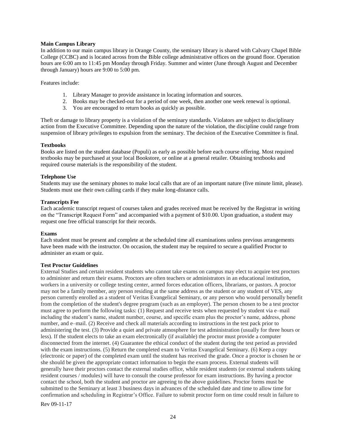#### <span id="page-23-0"></span>**Main Campus Library**

In addition to our main campus library in Orange County, the seminary library is shared with Calvary Chapel Bible College (CCBC) and is located across from the Bible college administrative offices on the ground floor. Operation hours are 6:00 am to 11:45 pm Monday through Friday. Summer and winter (June through August and December through January) hours are 9:00 to 5:00 pm.

Features include:

- 1. Library Manager to provide assistance in locating information and sources.
- 2. Books may be checked-out for a period of one week, then another one week renewal is optional.
- 3. You are encouraged to return books as quickly as possible.

Theft or damage to library property is a violation of the seminary standards. Violators are subject to disciplinary action from the Executive Committee. Depending upon the nature of the violation, the discipline could range from suspension of library privileges to expulsion from the seminary. The decision of the Executive Committee is final.

#### <span id="page-23-1"></span>**Textbooks**

Books are listed on the student database (Populi) as early as possible before each course offering. Most required textbooks may be purchased at your local Bookstore, or online at a general retailer. Obtaining textbooks and required course materials is the responsibility of the student.

### <span id="page-23-2"></span>**Telephone Use**

Students may use the seminary phones to make local calls that are of an important nature (five minute limit, please). Students must use their own calling cards if they make long-distance calls.

#### <span id="page-23-3"></span>**Transcripts Fee**

Each academic transcript request of courses taken and grades received must be received by the Registrar in writing on the "Transcript Request Form" and accompanied with a payment of \$10.00. Upon graduation, a student may request one free official transcript for their records.

#### <span id="page-23-4"></span>**Exams**

Each student must be present and complete at the scheduled time all examinations unless previous arrangements have been made with the instructor. On occasion, the student may be required to secure a qualified Proctor to administer an exam or quiz.

#### <span id="page-23-5"></span>**Test Proctor Guidelines**

External Studies and certain resident students who cannot take exams on campus may elect to acquire test proctors to administer and return their exams. Proctors are often teachers or administrators in an educational institution, workers in a university or college testing center, armed forces education officers, librarians, or pastors. A proctor may not be a family member, any person residing at the same address as the student or any student of VES, any person currently enrolled as a student of Veritas Evangelical Seminary, or any person who would personally benefit from the completion of the student's degree program (such as an employer). The person chosen to be a test proctor must agree to perform the following tasks: (1) Request and receive tests when requested by student via e–mail including the student's name, student number, course, and specific exam plus the proctor's name, address, phone number, and e–mail. (2) Receive and check all materials according to instructions in the test pack prior to administering the test. (3) Provide a quiet and private atmosphere for test administration (usually for three hours or less). If the student elects to take an exam electronically (if available) the proctor must provide a computer disconnected from the internet. (4) Guarantee the ethical conduct of the student during the test period as provided with the exam instructions. (5) Return the completed exam to Veritas Evangelical Seminary. (6) Keep a copy (electronic or paper) of the completed exam until the student has received the grade. Once a proctor is chosen he or she should be given the appropriate contact information to begin the exam process. External students will generally have their proctors contact the external studies office, while resident students (or external students taking resident courses / modules) will have to consult the course professor for exam instructions. By having a proctor contact the school, both the student and proctor are agreeing to the above guidelines. Proctor forms must be submitted to the Seminary at least 3 business days in advances of the scheduled date and time to allow time for confirmation and scheduling in Registrar's Office. Failure to submit proctor form on time could result in failure to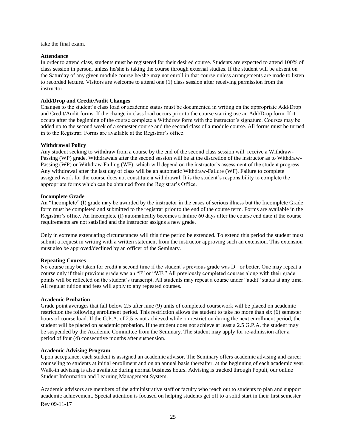take the final exam.

## <span id="page-24-0"></span>**Attendance**

In order to attend class, students must be registered for their desired course. Students are expected to attend 100% of class session in person, unless he/she is taking the course through external studies. If the student will be absent on the Saturday of any given module course he/she may not enroll in that course unless arrangements are made to listen to recorded lecture. Visitors are welcome to attend one (1) class session after receiving permission from the instructor.

#### <span id="page-24-1"></span>**Add/Drop and Credit/Audit Changes**

Changes to the student's class load or academic status must be documented in writing on the appropriate Add/Drop and Credit/Audit forms. If the change in class load occurs prior to the course starting use an Add/Drop form. If it occurs after the beginning of the course complete a Withdraw form with the instructor's signature. Courses may be added up to the second week of a semester course and the second class of a module course. All forms must be turned in to the Registrar. Forms are available at the Registrar's office.

#### <span id="page-24-2"></span>**Withdrawal Policy**

Any student seeking to withdraw from a course by the end of the second class session will receive a Withdraw-Passing (WP) grade. Withdrawals after the second session will be at the discretion of the instructor as to Withdraw-Passing (WP) or Withdraw-Failing (WF), which will depend on the instructor's assessment of the student progress. Any withdrawal after the last day of class will be an automatic Withdraw-Failure (WF). Failure to complete assigned work for the course does not constitute a withdrawal. It is the student's responsibility to complete the appropriate forms which can be obtained from the Registrar's Office.

#### <span id="page-24-3"></span>**Incomplete Grade**

An "Incomplete" (I) grade may be awarded by the instructor in the cases of serious illness but the Incomplete Grade form must be completed and submitted to the registrar prior to the end of the course term. Forms are available in the Registrar's office. An Incomplete (I) automatically becomes a failure 60 days after the course end date if the course requirements are not satisfied and the instructor assigns a new grade.

Only in extreme extenuating circumstances will this time period be extended. To extend this period the student must submit a request in writing with a written statement from the instructor approving such an extension. This extension must also be approved/declined by an officer of the Seminary.

#### <span id="page-24-4"></span>**Repeating Courses**

No course may be taken for credit a second time if the student's previous grade was D– or better. One may repeat a course only if their previous grade was an "F" or "WF." All previously completed courses along with their grade points will be reflected on the student's transcript. All students may repeat a course under "audit" status at any time. All regular tuition and fees will apply to any repeated courses.

#### **Academic Probation**

Grade point averages that fall below 2.5 after nine (9) units of completed coursework will be placed on academic restriction the following enrollment period. This restriction allows the student to take no more than six (6) semester hours of course load. If the G.P.A. of 2.5 is not achieved while on restriction during the next enrollment period, the student will be placed on academic probation. If the student does not achieve at least a 2.5 G.P.A. the student may be suspended by the Academic Committee from the Seminary. The student may apply for re-admission after a period of four (4) consecutive months after suspension.

#### <span id="page-24-5"></span>**Academic Advising Program**

<span id="page-24-6"></span>Upon acceptance, each student is assigned an academic advisor. The Seminary offers academic advising and career counseling to students at initial enrollment and on an annual basis thereafter, at the beginning of each academic year. Walk-in advising is also available during normal business hours. Advising is tracked through Populi, our online Student Information and Learning Management System.

Academic advisors are members of the administrative staff or faculty who reach out to students to plan and support academic achievement. Special attention is focused on helping students get off to a solid start in their first semester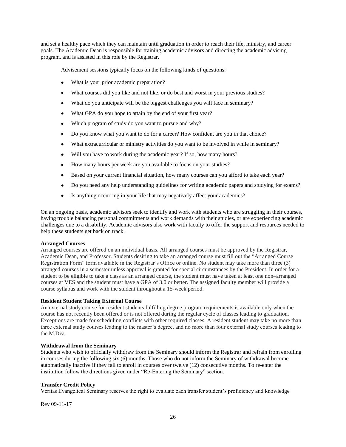and set a healthy pace which they can maintain until graduation in order to reach their life, ministry, and career goals. The Academic Dean is responsible for training academic advisors and directing the academic advising program, and is assisted in this role by the Registrar.

Advisement sessions typically focus on the following kinds of questions:

- What is your prior academic preparation?
- What courses did you like and not like, or do best and worst in your previous studies?
- What do you anticipate will be the biggest challenges you will face in seminary?
- What GPA do you hope to attain by the end of your first year?
- Which program of study do you want to pursue and why?
- Do you know what you want to do for a career? How confident are you in that choice?
- What extracurricular or ministry activities do you want to be involved in while in seminary?
- Will you have to work during the academic year? If so, how many hours?
- How many hours per week are you available to focus on your studies?
- Based on your current financial situation, how many courses can you afford to take each year?
- Do you need any help understanding guidelines for writing academic papers and studying for exams?
- Is anything occurring in your life that may negatively affect your academics?

On an ongoing basis, academic advisors seek to identify and work with students who are struggling in their courses, having trouble balancing personal commitments and work demands with their studies, or are experiencing academic challenges due to a disability. Academic advisors also work with faculty to offer the support and resources needed to help these students get back on track.

#### **Arranged Courses**

Arranged courses are offered on an individual basis. All arranged courses must be approved by the Registrar, Academic Dean, and Professor. Students desiring to take an arranged course must fill out the "Arranged Course Registration Form" form available in the Registrar's Office or online. No student may take more than three (3) arranged courses in a semester unless approval is granted for special circumstances by the President. In order for a student to be eligible to take a class as an arranged course, the student must have taken at least one non–arranged courses at VES and the student must have a GPA of 3.0 or better. The assigned faculty member will provide a course syllabus and work with the student throughout a 15-week period.

#### <span id="page-25-0"></span>**Resident Student Taking External Course**

An external study course for resident students fulfilling degree program requirements is available only when the course has not recently been offered or is not offered during the regular cycle of classes leading to graduation. Exceptions are made for scheduling conflicts with other required classes. A resident student may take no more than three external study courses leading to the master's degree, and no more than four external study courses leading to the M.Div.

#### <span id="page-25-1"></span>**Withdrawal from the Seminary**

Students who wish to officially withdraw from the Seminary should inform the Registrar and refrain from enrolling in courses during the following six (6) months. Those who do not inform the Seminary of withdrawal become automatically inactive if they fail to enroll in courses over twelve (12) consecutive months. To re-enter the institution follow the directions given under "Re-Entering the Seminary" section.

#### <span id="page-25-3"></span><span id="page-25-2"></span>**Transfer Credit Policy**

Veritas Evangelical Seminary reserves the right to evaluate each transfer student's proficiency and knowledge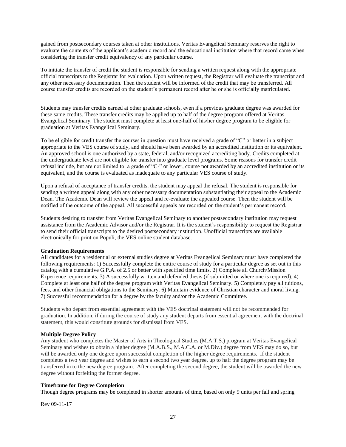gained from postsecondary courses taken at other institutions. Veritas Evangelical Seminary reserves the right to evaluate the contents of the applicant's academic record and the educational institution where that record came when considering the transfer credit equivalency of any particular course.

To initiate the transfer of credit the student is responsible for sending a written request along with the appropriate official transcripts to the Registrar for evaluation. Upon written request, the Registrar will evaluate the transcript and any other necessary documentation. Then the student will be informed of the credit that may be transferred. All course transfer credits are recorded on the student's permanent record after he or she is officially matriculated.

Students may transfer credits earned at other graduate schools, even if a previous graduate degree was awarded for these same credits. These transfer credits may be applied up to half of the degree program offered at Veritas Evangelical Seminary. The student must complete at least one-half of his/her degree program to be eligible for graduation at Veritas Evangelical Seminary.

To be eligible for credit transfer the courses in question must have received a grade of "C" or better in a subject appropriate to the VES course of study, and should have been awarded by an accredited institution or its equivalent. An approved school is one authorized by a state, federal, and/or recognized accrediting body. Credits completed at the undergraduate level are not eligible for transfer into graduate level programs. Some reasons for transfer credit refusal include, but are not limited to: a grade of "C-" or lower, course not awarded by an accredited institution or its equivalent, and the course is evaluated as inadequate to any particular VES course of study.

Upon a refusal of acceptance of transfer credits, the student may appeal the refusal. The student is responsible for sending a written appeal along with any other necessary documentation substantiating their appeal to the Academic Dean. The Academic Dean will review the appeal and re-evaluate the appealed course. Then the student will be notified of the outcome of the appeal. All successful appeals are recorded on the student's permanent record.

Students desiring to transfer from Veritas Evangelical Seminary to another postsecondary institution may request assistance from the Academic Advisor and/or the Registrar. It is the student's responsibility to request the Registrar to send their official transcripts to the desired postsecondary institution. Unofficial transcripts are available electronically for print on Populi, the VES online student database.

#### **Graduation Requirements**

All candidates for a residential or external studies degree at Veritas Evangelical Seminary must have completed the following requirements: 1) Successfully complete the entire course of study for a particular degree as set out in this catalog with a cumulative G.P.A. of 2.5 or better with specified time limits. 2) Complete all Church/Mission Experience requirements. 3) A successfully written and defended thesis (if submitted or where one is required). 4) Complete at least one half of the degree program with Veritas Evangelical Seminary. 5) Completely pay all tuitions, fees, and other financial obligations to the Seminary. 6) Maintain evidence of Christian character and moral living. 7) Successful recommendation for a degree by the faculty and/or the Academic Committee.

Students who depart from essential agreement with the VES doctrinal statement will not be recommended for graduation. In addition, if during the course of study any student departs from essential agreement with the doctrinal statement, this would constitute grounds for dismissal from VES.

#### <span id="page-26-0"></span>**Multiple Degree Policy**

Any student who completes the Master of Arts in Theological Studies (M.A.T.S.) program at Veritas Evangelical Seminary and wishes to obtain a higher degree (M.A.B.S., M.A.C.A. or M.Div.) degree from VES may do so, but will be awarded only one degree upon successful completion of the higher degree requirements. If the student completes a two year degree and wishes to earn a second two year degree, up to half the degree program may be transferred in to the new degree program. After completing the second degree, the student will be awarded the new degree without forfeiting the former degree.

#### <span id="page-26-1"></span>**Timeframe for Degree Completion**

Though degree programs may be completed in shorter amounts of time, based on only 9 units per fall and spring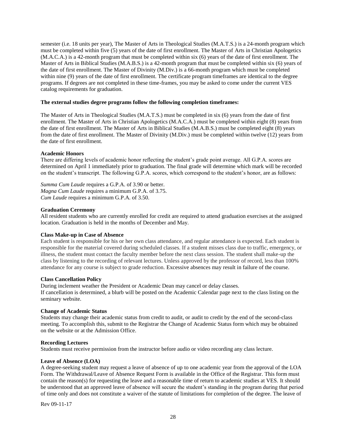semester (i.e. 18 units per year), The Master of Arts in Theological Studies (M.A.T.S.) is a 24-month program which must be completed within five (5) years of the date of first enrollment. The Master of Arts in Christian Apologetics (M.A.C.A.) is a 42-month program that must be completed within six (6) years of the date of first enrollment. The Master of Arts in Biblical Studies (M.A.B.S.) is a 42-month program that must be completed within six (6) years of the date of first enrollment. The Master of Divinity (M.Div.) is a 66-month program which must be completed within nine (9) years of the date of first enrollment. The certificate program timeframes are identical to the degree programs. If degrees are not completed in these time-frames, you may be asked to come under the current VES catalog requirements for graduation.

#### **The external studies degree programs follow the following completion timeframes:**

The Master of Arts in Theological Studies (M.A.T.S.) must be completed in six (6) years from the date of first enrollment. The Master of Arts in Christian Apologetics (M.A.C.A.) must be completed within eight (8) years from the date of first enrollment. The Master of Arts in Biblical Studies (M.A.B.S.) must be completed eight (8) years from the date of first enrollment. The Master of Divinity (M.Div.) must be completed within twelve (12) years from the date of first enrollment.

### <span id="page-27-0"></span>**Academic Honors**

There are differing levels of academic honor reflecting the student's grade point average. All G.P.A. scores are determined on April 1 immediately prior to graduation. The final grade will determine which mark will be recorded on the student's transcript. The following G.P.A. scores, which correspond to the student's honor, are as follows:

*Summa Cum Laude* requires a G.P.A. of 3.90 or better. *Magna Cum Laude* requires a minimum G.P.A. of 3.75. *Cum Laude* requires a minimum G.P.A. of 3.50.

### <span id="page-27-1"></span>**Graduation Ceremony**

All resident students who are currently enrolled for credit are required to attend graduation exercises at the assigned location. Graduation is held in the months of December and May.

#### <span id="page-27-2"></span>**Class Make-up in Case of Absence**

Each student is responsible for his or her own class attendance, and regular attendance is expected. Each student is responsible for the material covered during scheduled classes. If a student misses class due to traffic, emergency, or illness, the student must contact the faculty member before the next class session. The student shall make-up the class by listening to the recording of relevant lectures. Unless approved by the professor of record, less than 100% attendance for any course is subject to grade reduction. Excessive absences may result in failure of the course.

#### <span id="page-27-3"></span>**Class Cancellation Policy**

During inclement weather the President or Academic Dean may cancel or delay classes. If cancellation is determined, a blurb will be posted on the Academic Calendar page next to the class listing on the seminary website.

#### <span id="page-27-4"></span>**Change of Academic Status**

Students may change their academic status from credit to audit, or audit to credit by the end of the second-class meeting. To accomplish this, submit to the Registrar the Change of Academic Status form which may be obtained on the website or at the Admission Office.

#### <span id="page-27-5"></span>**Recording Lectures**

Students must receive permission from the instructor before audio or video recording any class lecture.

#### <span id="page-27-6"></span>**Leave of Absence (LOA)**

A degree-seeking student may request a leave of absence of up to one academic year from the approval of the LOA Form. The Withdrawal/Leave of Absence Request Form is available in the Office of the Registrar. This form must contain the reason(s) for requesting the leave and a reasonable time of return to academic studies at VES. It should be understood that an approved leave of absence will secure the student's standing in the program during that period of time only and does not constitute a waiver of the statute of limitations for completion of the degree. The leave of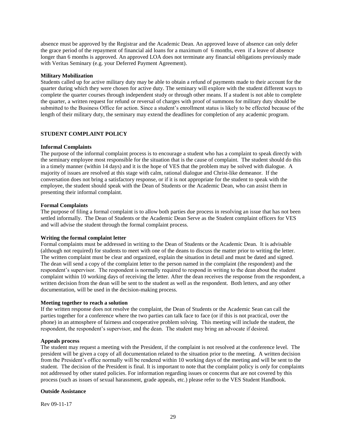absence must be approved by the Registrar and the Academic Dean. An approved leave of absence can only defer the grace period of the repayment of financial aid loans for a maximum of 6 months, even if a leave of absence longer than 6 months is approved. An approved LOA does not terminate any financial obligations previously made with Veritas Seminary (e.g. your Deferred Payment Agreement).

#### <span id="page-28-0"></span>**Military Mobilization**

Students called up for active military duty may be able to obtain a refund of payments made to their account for the quarter during which they were chosen for active duty. The seminary will explore with the student different ways to complete the quarter courses through independent study or through other means. If a student is not able to complete the quarter, a written request for refund or reversal of charges with proof of summons for military duty should be submitted to the Business Office for action. Since a student's enrollment status is likely to be effected because of the length of their military duty, the seminary may extend the deadlines for completion of any academic program.

## <span id="page-28-1"></span>**STUDENT COMPLAINT POLICY**

#### <span id="page-28-2"></span>**Informal Complaints**

The purpose of the informal complaint process is to encourage a student who has a complaint to speak directly with the seminary employee most responsible for the situation that is the cause of complaint. The student should do this in a timely manner (within 14 days) and it is the hope of VES that the problem may be solved with dialogue. A majority of issues are resolved at this stage with calm, rational dialogue and Christ-like demeanor. If the conversation does not bring a satisfactory response, or if it is not appropriate for the student to speak with the employee, the student should speak with the Dean of Students or the Academic Dean, who can assist them in presenting their informal complaint.

#### <span id="page-28-3"></span>**Formal Complaints**

The purpose of filing a formal complaint is to allow both parties due process in resolving an issue that has not been settled informally. The Dean of Students or the Academic Dean Serve as the Student complaint officers for VES and will advise the student through the formal complaint process.

#### <span id="page-28-4"></span>**Writing the formal complaint letter**

Formal complaints must be addressed in writing to the Dean of Students or the Academic Dean. It is advisable (although not required) for students to meet with one of the deans to discuss the matter prior to writing the letter. The written complaint must be clear and organized, explain the situation in detail and must be dated and signed. The dean will send a copy of the complaint letter to the person named in the complaint (the respondent) and the respondent's supervisor. The respondent is normally required to respond in writing to the dean about the student complaint within 10 working days of receiving the letter. After the dean receives the response from the respondent, a written decision from the dean will be sent to the student as well as the respondent. Both letters, and any other documentation, will be used in the decision-making process.

#### <span id="page-28-5"></span>**Meeting together to reach a solution**

If the written response does not resolve the complaint, the Dean of Students or the Academic Sean can call the parties together for a conference where the two parties can talk face to face (or if this is not practical, over the phone) in an atmosphere of fairness and cooperative problem solving. This meeting will include the student, the respondent, the respondent's supervisor, and the dean. The student may bring an advocate if desired.

#### <span id="page-28-6"></span>**Appeals process**

The student may request a meeting with the President, if the complaint is not resolved at the conference level. The president will be given a copy of all documentation related to the situation prior to the meeting. A written decision from the President's office normally will be rendered within 10 working days of the meeting and will be sent to the student. The decision of the President is final. It is important to note that the complaint policy is *only* for complaints not addressed by other stated policies. For information regarding issues or concerns that are not covered by this process (such as issues of sexual harassment, grade appeals, etc.) please refer to the VES Student Handbook.

#### <span id="page-28-7"></span>**Outside Assistance**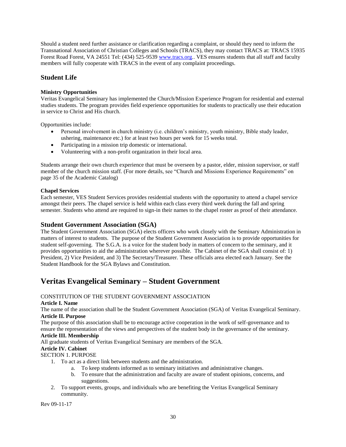<span id="page-29-0"></span>Should a student need further assistance or clarification regarding a complaint, or should they need to inform the Transnational Association of Christian Colleges and Schools (TRACS), they may contact TRACS at: TRACS 15935 Forest Road Forest, VA 24551 Tel: (434) 525-9539 [www.tracs.org](http://www.tracs.org/).. VES ensures students that all staff and faculty members will fully cooperate with TRACS in the event of any complaint proceedings.

# **Student Life**

## **Ministry Opportunities**

Veritas Evangelical Seminary has implemented the Church/Mission Experience Program for residential and external studies students. The program provides field experience opportunities for students to practically use their education in service to Christ and His church.

Opportunities include:

- Personal involvement in church ministry (i.e. children's ministry, youth ministry, Bible study leader, ushering, maintenance etc.) for at least two hours per week for 15 weeks total.
- Participating in a mission trip domestic or international.
- Volunteering with a non-profit organization in their local area.

Students arrange their own church experience that must be overseen by a pastor, elder, mission supervisor, or staff member of the church mission staff. (For more details, see "Church and Missions Experience Requirements" on page 35 of the Academic Catalog)

## **Chapel Services**

Each semester, VES Student Services provides residential students with the opportunity to attend a chapel service amongst their peers. The chapel service is held within each class every third week during the fall and spring semester. Students who attend are required to sign-in their names to the chapel roster as proof of their attendance.

## **Student Government Association (SGA)**

The Student Government Association (SGA) elects officers who work closely with the Seminary Administration in matters of interest to students. The purpose of the Student Government Association is to provide opportunities for student self-governing. The S.G.A. is a voice for the student body in matters of concern to the seminary, and it provides opportunities to aid the administration wherever possible. The Cabinet of the SGA shall consist of: 1) President, 2) Vice President, and 3) The Secretary/Treasurer. These officials area elected each January. See the Student Handbook for the SGA Bylaws and Constitution.

# **Veritas Evangelical Seminary – Student Government**

## CONSTITUTION OF THE STUDENT GOVERNMENT ASSOCIATION

## **Article I. Name**

The name of the association shall be the Student Government Association (SGA) of Veritas Evangelical Seminary. **Article II. Purpose**

The purpose of this association shall be to encourage active cooperation in the work of self-governance and to ensure the representation of the views and perspectives of the student body in the governance of the seminary. **Article III. Membership**

All graduate students of Veritas Evangelical Seminary are members of the SGA.

## **Article IV. Cabinet**

SECTION 1. PURPOSE

- 1. To act as a direct link between students and the administration.
	- a. To keep students informed as to seminary initiatives and administrative changes.
	- b. To ensure that the administration and faculty are aware of student opinions, concerns, and suggestions.
- 2. To support events, groups, and individuals who are benefiting the Veritas Evangelical Seminary community.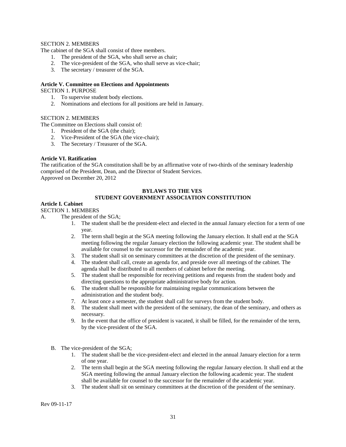## SECTION 2. MEMBERS

The cabinet of the SGA shall consist of three members.

- 1. The president of the SGA, who shall serve as chair;
- 2. The vice-president of the SGA, who shall serve as vice-chair;
- 3. The secretary / treasurer of the SGA.

## **Article V. Committee on Elections and Appointments**

#### SECTION 1. PURPOSE

- 1. To supervise student body elections.
- 2. Nominations and elections for all positions are held in January.

## SECTION 2. MEMBERS

The Committee on Elections shall consist of:

- 1. President of the SGA (the chair);
- 2. Vice-President of the SGA (the vice-chair);
- 3. The Secretary / Treasurer of the SGA.

## **Article VI. Ratification**

The ratification of the SGA constitution shall be by an affirmative vote of two-thirds of the seminary leadership comprised of the President, Dean, and the Director of Student Services. Approved on December 20, 2012

## **BYLAWS TO THE VES STUDENT GOVERNMENT ASSOCIATION CONSTITUTION**

## **Article I. Cabinet**

#### SECTION 1. MEMBERS

- A. The president of the SGA;
	- 1. The student shall be the president-elect and elected in the annual January election for a term of one year.
	- 2. The term shall begin at the SGA meeting following the January election. It shall end at the SGA meeting following the regular January election the following academic year. The student shall be available for counsel to the successor for the remainder of the academic year.
	- 3. The student shall sit on seminary committees at the discretion of the president of the seminary.
	- 4. The student shall call, create an agenda for, and preside over all meetings of the cabinet. The agenda shall be distributed to all members of cabinet before the meeting.
	- 5. The student shall be responsible for receiving petitions and requests from the student body and directing questions to the appropriate administrative body for action.
	- 6. The student shall be responsible for maintaining regular communications between the administration and the student body.
	- 7. At least once a semester, the student shall call for surveys from the student body.
	- 8. The student shall meet with the president of the seminary, the dean of the seminary, and others as necessary.
	- 9. In the event that the office of president is vacated, it shall be filled, for the remainder of the term, by the vice-president of the SGA.
	- B. The vice-president of the SGA;
		- 1. The student shall be the vice-president-elect and elected in the annual January election for a term of one year.
		- 2. The term shall begin at the SGA meeting following the regular January election. It shall end at the SGA meeting following the annual January election the following academic year. The student shall be available for counsel to the successor for the remainder of the academic year.
		- 3. The student shall sit on seminary committees at the discretion of the president of the seminary.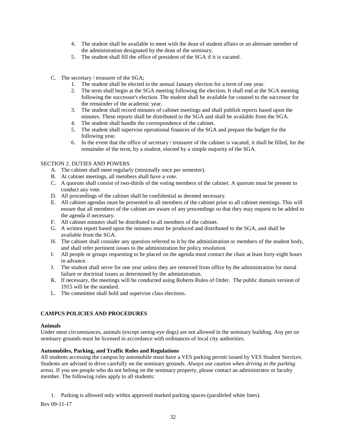- 4. The student shall be available to meet with the dean of student affairs or an alternate member of the administration designated by the dean of the seminary.
- 5. The student shall fill the office of president of the SGA if it is vacated.
- C. The secretary / treasurer of the SGA;
	- 1. The student shall be elected in the annual January election for a term of one year.
	- 2. The term shall begin at the SGA meeting following the election. It shall end at the SGA meeting following the successor's election. The student shall be available for counsel to the successor for the remainder of the academic year.
	- 3. The student shall record minutes of cabinet meetings and shall publish reports based upon the minutes. These reports shall be distributed to the SGA and shall be available from the SGA.
	- 4. The student shall handle the correspondence of the cabinet.
	- 5. The student shall supervise operational finances of the SGA and prepare the budget for the following year.
	- 6. In the event that the office of secretary / treasurer of the cabinet is vacated, it shall be filled, for the remainder of the term, by a student, elected by a simple majority of the SGA.

### SECTION 2. DUTIES AND POWERS

- A. The cabinet shall meet regularly (minimally once per semester).
- B. At cabinet meetings, all members shall have a vote.
- C. A quorum shall consist of two-thirds of the voting members of the cabinet. A quorum must be present to conduct any vote.
- D. All proceedings of the cabinet shall be confidential as deemed necessary.
- E. All cabinet agendas must be presented to all members of the cabinet prior to all cabinet meetings. This will ensure that all members of the cabinet are aware of any proceedings so that they may request to be added to the agenda if necessary.
- F. All cabinet minutes shall be distributed to all members of the cabinet.
- G. A written report based upon the minutes must be produced and distributed to the SGA, and shall be available from the SGA.
- H. The cabinet shall consider any question referred to it by the administration or members of the student body, and shall refer pertinent issues to the administration for policy resolution.
- I. All people or groups requesting to be placed on the agenda must contact the chair at least forty-eight hours in advance.
- J. The student shall serve for one year unless they are removed from office by the administration for moral failure or doctrinal issues as determined by the administration.
- K. If necessary, the meetings will be conducted using Roberts Rules of Order. The public domain version of 1915 will be the standard.
- L. The committee shall hold and supervise class elections.

## <span id="page-31-0"></span>**CAMPUS POLICIES AND PROCEDURES**

#### **Animals**

Under most circumstances, animals (except seeing-eye dogs) are not allowed in the seminary building. Any pet on seminary grounds must be licensed in accordance with ordinances of local city authorities.

#### <span id="page-31-1"></span>**Automobiles, Parking, and Traffic Rules and Regulations**

All students accessing the campus by automobile must have a VES parking permit issued by VES Student Services. Students are advised to drive carefully on the seminary grounds. *Always use caution when driving in the parking areas.* If you see people who do not belong on the seminary property, please contact an administrator or faculty member. The following rules apply to all students:

1. Parking is allowed only within approved marked parking spaces (paralleled white lines).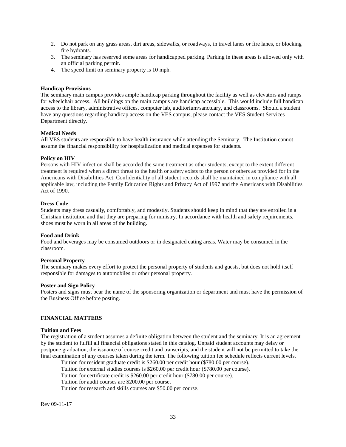- 2. Do not park on any grass areas, dirt areas, sidewalks, or roadways, in travel lanes or fire lanes, or blocking fire hydrants.
- 3. The seminary has reserved some areas for handicapped parking. Parking in these areas is allowed only with an official parking permit.
- 4. The speed limit on seminary property is 10 mph.

### <span id="page-32-0"></span>**Handicap Provisions**

The seminary main campus provides ample handicap parking throughout the facility as well as elevators and ramps for wheelchair access. All buildings on the main campus are handicap accessible. This would include full handicap access to the library, administrative offices, computer lab, auditorium/sanctuary, and classrooms. Should a student have any questions regarding handicap access on the VES campus, please contact the VES Student Services Department directly.

#### <span id="page-32-1"></span>**Medical Needs**

All VES students are responsible to have health insurance while attending the Seminary. The Institution cannot assume the financial responsibility for hospitalization and medical expenses for students.

### <span id="page-32-2"></span>**Policy on HIV**

Persons with HIV infection shall be accorded the same treatment as other students, except to the extent different treatment is required when a direct threat to the health or safety exists to the person or others as provided for in the Americans with Disabilities Act. Confidentiality of all student records shall be maintained in compliance with all applicable law, including the Family Education Rights and Privacy Act of 1997 and the Americans with Disabilities Act of 1990.

#### **Dress Code**

Students may dress casually, comfortably, and modestly. Students should keep in mind that they are enrolled in a Christian institution and that they are preparing for ministry. In accordance with health and safety requirements, shoes must be worn in all areas of the building.

#### <span id="page-32-3"></span>**Food and Drink**

Food and beverages may be consumed outdoors or in designated eating areas. Water may be consumed in the classroom.

#### <span id="page-32-4"></span>**Personal Property**

The seminary makes every effort to protect the personal property of students and guests, but does not hold itself responsible for damages to automobiles or other personal property.

#### <span id="page-32-5"></span>**Poster and Sign Policy**

Posters and signs must bear the name of the sponsoring organization or department and must have the permission of the Business Office before posting.

#### **FINANCIAL MATTERS**

#### <span id="page-32-6"></span>**Tuition and Fees**

The registration of a student assumes a definite obligation between the student and the seminary. It is an agreement by the student to fulfill all financial obligations stated in this catalog. Unpaid student accounts may delay or postpone graduation, the issuance of course credit and transcripts, and the student will not be permitted to take the final examination of any courses taken during the term. The following tuition fee schedule reflects current levels.

Tuition for resident graduate credit is \$260.00 per credit hour (\$780.00 per course). Tuition for external studies courses is \$260.00 per credit hour (\$780.00 per course). Tuition for certificate credit is \$260.00 per credit hour (\$780.00 per course). Tuition for audit courses are \$200.00 per course. Tuition for research and skills courses are \$50.00 per course.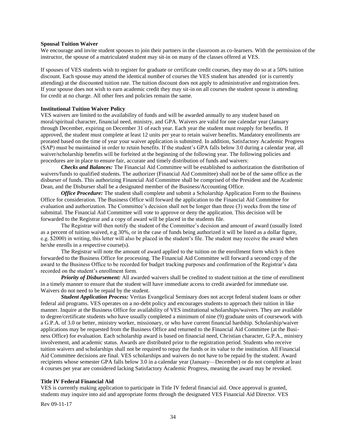#### <span id="page-33-0"></span>**Spousal Tuition Waiver**

We encourage and invite student spouses to join their partners in the classroom as co-learners. With the permission of the instructor, the spouse of a matriculated student may sit-in on many of the classes offered at VES.

If spouses of VES students wish to register for graduate or certificate credit courses, they may do so at a 50% tuition discount. Each spouse may attend the identical number of courses the VES student has attended (or is currently attending) at the discounted tuition rate. The tuition discount does not apply to administrative and registration fees. If your spouse does not wish to earn academic credit they may sit-in on all courses the student spouse is attending for credit at no charge. All other fees and policies remain the same.

#### **Institutional Tuition Waiver Policy**

VES waivers are limited to the availability of funds and will be awarded annually to any student based on moral/spiritual character, financial need, ministry, and GPA. Waivers are valid for one calendar year (January through December, expiring on December 31 of each year. Each year the student must reapply for benefits. If approved, the student must complete at least 12 units per year to retain waiver benefits. Mandatory enrollments are prorated based on the time of year your waiver application is submitted. In addition, Satisfactory Academic Progress (SAP) must be maintained in order to retain benefits. If the student's GPA falls below 3.0 during a calendar year, all waiver/scholarship benefits will be forfeited at the beginning of the following year. The following policies and procedures are in place to ensure fair, accurate and timely distribution of funds and waivers:

*Checks and Balances:* The Financial Aid Committee will be established to authorization the distribution of waivers/funds to qualified students. The authorizer (Financial Aid Committee) shall not be of the same office as the disburser of funds. This authorizing Financial Aid Committee shall be comprised of the President and the Academic Dean, and the Disburser shall be a designated member of the Business/Accounting Office.

*Office Procedure:* The student shall complete and submit a Scholarship Application Form to the Business Office for consideration. The Business Office will forward the application to the Financial Aid Committee for evaluation and authorization. The Committee's decision shall not be longer than three (3) weeks from the time of submittal. The Financial Aid Committee will vote to approve or deny the application. This decision will be forwarded to the Registrar and a copy of award will be placed in the students file.

The Registrar will then notify the student of the Committee's decision and amount of award (usually listed as a percent of tuition waived, e.g 30%, or in the case of funds being authorized it will be listed as a dollar figure, e.g. \$2000) in writing, this letter will also be placed in the student's file. The student may receive the award when he/she enrolls in a respective course(s).

The Registrar will note the amount of award applied to the tuition on the enrollment form which is then forwarded to the Business Office for processing. The Financial Aid Committee will forward a second copy of the award to the Business Office to be recorded for budget tracking purposes and confirmation of the Registrar's data recorded on the student's enrollment form.

*Priority of Disbursement:* All awarded waivers shall be credited to student tuition at the time of enrollment in a timely manner to ensure that the student will have immediate access to credit awarded for immediate use. Waivers do not need to be repaid by the student.

*Student Application Process:* Veritas Evangelical Seminary does not accept federal student loans or other federal aid programs. VES operates on a no-debt policy and encourages students to approach their tuition in like manner. Inquire at the Business Office for availability of VES institutional scholarships/waivers. They are available to degree/certificate students who have usually completed a minimum of nine (9) graduate units of coursework with a G.P.A. of 3.0 or better, ministry worker, missionary, or who have current financial hardship. Scholarship/waiver applications may be requested from the Business Office and returned to the Financial Aid Committee (at the Business Office) for evaluation. Each scholarship award is based on financial need, Christian character, G.P.A., ministry involvement, and academic status. Awards are distributed prior to the registration period. Students who receive tuition waivers and scholarships shall not be required to repay the funds or its value to the institution. All Financial Aid Committee decisions are final. VES scholarships and waivers do not have to be repaid by the student. Award recipients whose semester GPA falls below 3.0 in a calendar year (January—December) or do not complete at least 4 courses per year are considered lacking Satisfactory Academic Progress, meaning the award may be revoked.

### **Title IV Federal Financial Aid**

VES is currently making application to participate in Title IV federal financial aid. Once approval is granted, students may inquire into aid and appropriate forms through the designated VES Financial Aid Director. VES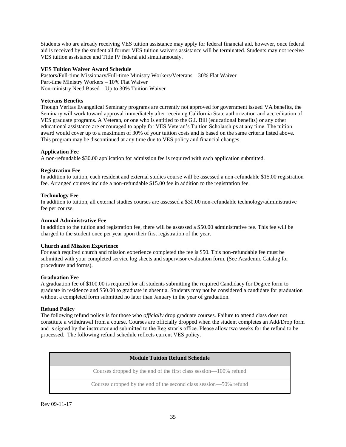Students who are already receiving VES tuition assistance may apply for federal financial aid, however, once federal aid is received by the student all former VES tuition waivers assistance will be terminated. Students may not receive VES tuition assistance and Title IV federal aid simultaneously.

## **VES Tuition Waiver Award Schedule**

Pastors/Full-time Missionary/Full-time Ministry Workers/Veterans – 30% Flat Waiver Part-time Ministry Workers – 10% Flat Waiver Non-ministry Need Based – Up to 30% Tuition Waiver

## <span id="page-34-0"></span>**Veterans Benefits**

Though Veritas Evangelical Seminary programs are currently not approved for government issued VA benefits, the Seminary will work toward approval immediately after receiving California State authorization and accreditation of VES graduate programs. A Veteran, or one who is entitled to the G.I. Bill (educational benefits) or any other educational assistance are encouraged to apply for VES Veteran's Tuition Scholarships at any time. The tuition award would cover up to a maximum of 30% of your tuition costs and is based on the same criteria listed above. This program may be discontinued at any time due to VES policy and financial changes.

### <span id="page-34-1"></span>**Application Fee**

A non-refundable \$30.00 application for admission fee is required with each application submitted.

### <span id="page-34-2"></span>**Registration Fee**

In addition to tuition, each resident and external studies course will be assessed a non-refundable \$15.00 registration fee. Arranged courses include a non-refundable \$15.00 fee in addition to the registration fee.

### <span id="page-34-3"></span>**Technology Fee**

In addition to tuition, all external studies courses are assessed a \$30.00 non-refundable technology/administrative fee per course.

#### <span id="page-34-4"></span>**Annual Administrative Fee**

In addition to the tuition and registration fee, there will be assessed a \$50.00 administrative fee. This fee will be charged to the student once per year upon their first registration of the year.

#### <span id="page-34-5"></span>**Church and Mission Experience**

For each required church and mission experience completed the fee is \$50. This non-refundable fee must be submitted with your completed service log sheets and supervisor evaluation form. (See Academic Catalog for procedures and forms).

#### <span id="page-34-6"></span>**Graduation Fee**

A graduation fee of \$100.00 is required for all students submitting the required Candidacy for Degree form to graduate in residence and \$50.00 to graduate in absentia. Students may not be considered a candidate for graduation without a completed form submitted no later than January in the year of graduation.

## <span id="page-34-7"></span>**Refund Policy**

The following refund policy is for those who *officially* drop graduate courses. Failure to attend class does not constitute a withdrawal from a course. Courses are officially dropped when the student completes an Add/Drop form and is signed by the instructor and submitted to the Registrar's office. Please allow two weeks for the refund to be processed. The following refund schedule reflects current VES policy.

Courses dropped by the end of the first class session—100% refund

Courses dropped by the end of the second class session—50% refund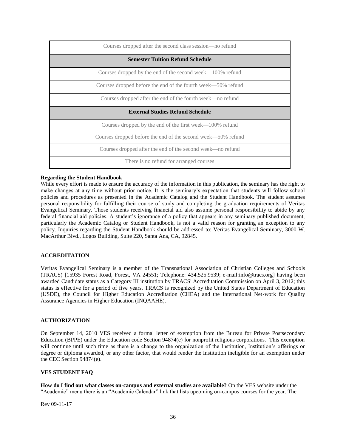| Courses dropped after the second class session—no refund     |  |  |
|--------------------------------------------------------------|--|--|
| <b>Semester Tuition Refund Schedule</b>                      |  |  |
| Courses dropped by the end of the second week—100% refund    |  |  |
| Courses dropped before the end of the fourth week—50% refund |  |  |
| Courses dropped after the end of the fourth week—no refund   |  |  |
| <b>External Studies Refund Schedule</b>                      |  |  |
|                                                              |  |  |
| Courses dropped by the end of the first week—100% refund     |  |  |
| Courses dropped before the end of the second week—50% refund |  |  |
| Courses dropped after the end of the second week—no refund   |  |  |

#### <span id="page-35-0"></span>**Regarding the Student Handbook**

While every effort is made to ensure the accuracy of the information in this publication, the seminary has the right to make changes at any time without prior notice. It is the seminary's expectation that students will follow school policies and procedures as presented in the Academic Catalog and the Student Handbook. The student assumes personal responsibility for fulfilling their course of study and completing the graduation requirements of Veritas Evangelical Seminary. Those students receiving financial aid also assume personal responsibility to abide by any federal financial aid policies. A student's ignorance of a policy that appears in any seminary published document, particularly the Academic Catalog or Student Handbook, is not a valid reason for granting an exception to any policy. Inquiries regarding the Student Handbook should be addressed to: Veritas Evangelical Seminary, 3000 W. MacArthur Blvd., Logos Building, Suite 220, Santa Ana, CA, 92845.

#### **ACCREDITATION**

Veritas Evangelical Seminary is a member of the Transnational Association of Christian Colleges and Schools (TRACS) [15935 Forest Road, Forest, VA 24551; Telephone: 434.525.9539; e-mail:info@tracs.org] having been awarded Candidate status as a Category III institution by TRACS' Accreditation Commission on April 3, 2012; this status is effective for a period of five years. TRACS is recognized by the United States Department of Education (USDE), the Council for Higher Education Accreditation (CHEA) and the International Net-work for Quality Assurance Agencies in Higher Education (INQAAHE).

#### **AUTHORIZATION**

On September 14, 2010 VES received a formal letter of exemption from the Bureau for Private Postsecondary Education (BPPE) under the Education code Section 94874(e) for nonprofit religious corporations. This exemption will continue until such time as there is a change to the organization of the Institution, Institution's offerings or degree or diploma awarded, or any other factor, that would render the Institution ineligible for an exemption under the CEC Section 94874(e).

#### **VES STUDENT FAQ**

**How do I find out what classes on-campus and external studies are available?** On the VES website under the "Academic" menu there is an "Academic Calendar" link that lists upcoming on-campus courses for the year. The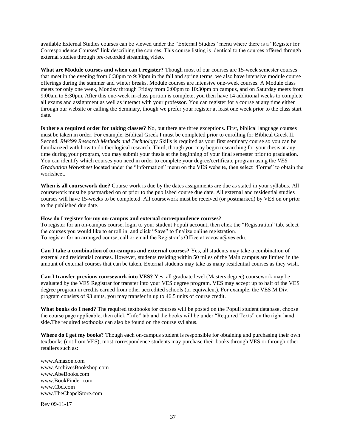available External Studies courses can be viewed under the "External Studies" menu where there is a "Register for Correspondence Courses" link describing the courses. This course listing is identical to the courses offered through external studies through pre-recorded streaming video.

**What are Module courses and when can I register?** Though most of our courses are 15-week semester courses that meet in the evening from 6:30pm to 9:30pm in the fall and spring terms, we also have intensive module course offerings during the summer and winter breaks. Module courses are intensive one-week courses. A Module class meets for only one week, Monday through Friday from 6:00pm to 10:30pm on campus, and on Saturday meets from 9:00am to 5:30pm. After this one-week in-class portion is complete, you then have 14 additional weeks to complete all exams and assignment as well as interact with your professor. You can register for a course at any time either through our website or calling the Seminary, though we prefer your register at least one week prior to the class start date.

**Is there a required order for taking classes?** No, but there are three exceptions. First, biblical language courses must be taken in order. For example, Biblical Greek I must be completed prior to enrolling for Biblical Greek II. Second, *RW499 Research Methods and Technology* Skills is required as your first seminary course so you can be familiarized with how to do theological research. Third, though you may begin researching for your thesis at any time during your program, you may submit your thesis at the beginning of your final semester prior to graduation. You can identify which courses you need in order to complete your degree/certificate program using the *VES Graduation Worksheet* located under the "Information" menu on the VES website, then select "Forms" to obtain the worksheet.

**When is all coursework due?** Course work is due by the dates assignments are due as stated in your syllabus. All coursework must be postmarked on or prior to the published course due date. All external and residential studies courses will have 15-weeks to be completed. All coursework must be received (or postmarked) by VES on or prior to the published due date.

#### **How do I register for my on-campus and external correspondence courses?**

To register for an on-campus course, login to your student Populi account, then click the "Registration" tab, select the courses you would like to enroll in, and click "Save" to finalize online registration. To register for an arranged course, call or email the Registrar's Office at vacosta@ves.edu.

**Can I take a combination of on-campus and external courses?** Yes, all students may take a combination of external and residential courses. However, students residing within 50 miles of the Main campus are limited in the amount of external courses that can be taken. External students may take as many residential courses as they wish.

**Can I transfer previous coursework into VES?** Yes, all graduate level (Masters degree) coursework may be evaluated by the VES Registrar for transfer into your VES degree program. VES may accept up to half of the VES degree program in credits earned from other accredited schools (or equivalent). For example, the VES M.Div. program consists of 93 units, you may transfer in up to 46.5 units of course credit.

**What books do I need?** The required textbooks for courses will be posted on the Populi student database, choose the course page applicable, then click "Info" tab and the books will be under "Required Texts" on the right hand side.The required textbooks can also be found on the course syllabus.

**Where do I get my books?** Though each on-campus student is responsible for obtaining and purchasing their own textbooks (not from VES), most correspondence students may purchase their books through VES or through other retailers such as:

[www.Amazon.com](http://www.amazon.com/) [www.ArchivesBookshop.com](http://www.archivesbookshop.com/) [www.AbeBooks.com](http://www.abebooks.com/) [www.BookFinder.com](http://www.bookfinder.com/) [www.Cbd.com](http://www.cbd.com/) [www.TheChapelStore.com](http://www.thechapelstore.com/)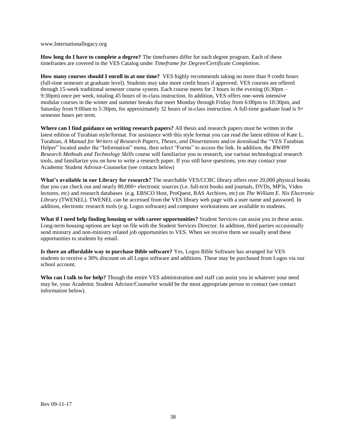[www.Internationallegacy.org](http://www.internationallegacy.org/)

**How long do I have to complete a degree?** The timeframes differ for each degree program. Each of these timeframes are covered in the VES Catalog under *Timeframe for Degree/Certificate Completion.*

**How many courses should I enroll in at one time?** VES highly recommends taking no more than 9 credit hours (full-time semester at graduate level). Students may take more credit hours if approved. VES courses are offered through 15-week traditional semester course system. Each course meets for 3 hours in the evening (6:30pm – 9:30pm) once per week, totaling 45 hours of in-class instruction. In addition, VES offers one-week intensive modular courses in the winter and summer breaks that meet Monday through Friday from 6:00pm to 10:30pm, and Saturday from 9:00am to 5:30pm, for approximately 32 hours of in-class instruction. A full-time graduate load is 9+ semester hours per term.

**Where can I find guidance on writing research papers?** All thesis and research papers must be written in the latest edition of Turabian style/format. For assistance with this style format you can read the latest edition of Kate L. Turabian, *A Manual for Writers of Research Papers, Theses, and Dissertations* and/or download the "VES Turabian Helper" located under the "Information" menu, then select "Forms" to access the link. In addition, the *RW499 Research Methods and Technology Skills* course will familiarize you to research, use various technological research tools, and familiarize you on how to write a research paper. If you still have questions, you may contact your Academic Student Advisor-Counselor (see contacts below)

**What's available in our Library for research?** The searchable VES/CCBC library offers over 20,000 physical books that you can check out and nearly 80,000+ electronic sources (i.e. full-text books and journals, DVDs, MP3s, Video lectures, etc) and research databases (e.g. EBSCO Host, ProQuest, BAS Archives, etc) on *The William E. Nix Electronic Library* (TWENEL). TWENEL can be accessed from the VES library web page with a user name and password. In addition, electronic research tools (e.g. Logos software) and computer workstations are available to students.

**What if I need help finding housing or with career opportunities?** Student Services can assist you in these areas. Long-term housing options are kept on file with the Student Services Director. In addition, third parties occasionally send ministry and non-ministry related job opportunities to VES. When we receive them we usually send these opportunities to students by email.

**Is there an affordable way to purchase Bible software?** Yes, Logos Bible Software has arranged for VES students to receive a 30% discount on all Logos software and additions. These may be purchased from Logos via our school account.

**Who can I talk to for help?** Though the entire VES administration and staff can assist you in whatever your need may be, your Academic Student Advisor/Counselor would be the most appropriate person to contact (see contact information below).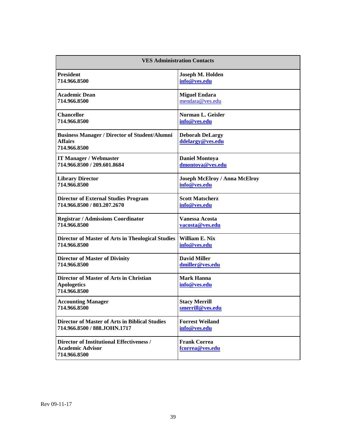<span id="page-38-0"></span>

| <b>VES Administration Contacts</b>                                                     |                                            |  |
|----------------------------------------------------------------------------------------|--------------------------------------------|--|
| <b>President</b>                                                                       | Joseph M. Holden                           |  |
| 714.966.8500                                                                           | info@ves.edu                               |  |
| <b>Academic Dean</b>                                                                   | <b>Miguel Endara</b>                       |  |
| 714.966.8500                                                                           | mendara@ves.edu                            |  |
| <b>Chancellor</b>                                                                      | Norman L. Geisler                          |  |
| 714.966.8500                                                                           | info@ves.edu                               |  |
| <b>Business Manager / Director of Student/Alumni</b><br><b>Affairs</b><br>714.966.8500 | <b>Deborah DeLargy</b><br>ddelargy@ves.edu |  |
| <b>IT Manager / Webmaster</b>                                                          | <b>Daniel Montoya</b>                      |  |
| 714.966.8500 / 209.601.8684                                                            | dmontoya@ves.edu                           |  |
| <b>Library Director</b>                                                                | <b>Joseph McElroy / Anna McElroy</b>       |  |
| 714.966.8500                                                                           | info@ves.edu                               |  |
| <b>Director of External Studies Program</b>                                            | <b>Scott Matscherz</b>                     |  |
| 714.966.8500 / 803.207.2670                                                            | info@ves.edu                               |  |
| <b>Registrar / Admissions Coordinator</b>                                              | <b>Vanessa Acosta</b>                      |  |
| 714.966.8500                                                                           | vacosta@ves.edu                            |  |
| Director of Master of Arts in Theological Studies                                      | William E. Nix                             |  |
| 714.966.8500                                                                           | info@ves.edu                               |  |
| <b>Director of Master of Divinity</b>                                                  | <b>David Miller</b>                        |  |
| 714.966.8500                                                                           | dmiller@ves.edu                            |  |
| Director of Master of Arts in Christian<br><b>Apologetics</b><br>714.966.8500          | <b>Mark Hanna</b><br>info@ves.edu          |  |
| <b>Accounting Manager</b>                                                              | <b>Stacy Merrill</b>                       |  |
| 714.966.8500                                                                           | smerrill@ves.edu                           |  |
| <b>Director of Master of Arts in Biblical Studies</b>                                  | <b>Forrest Weiland</b>                     |  |
| 714.966.8500 / 888.JOHN.1717                                                           | info@ves.edu                               |  |
| Director of Institutional Effectiveness /<br><b>Academic Advisor</b><br>714.966.8500   | <b>Frank Correa</b><br>fcorrea@ves.edu     |  |